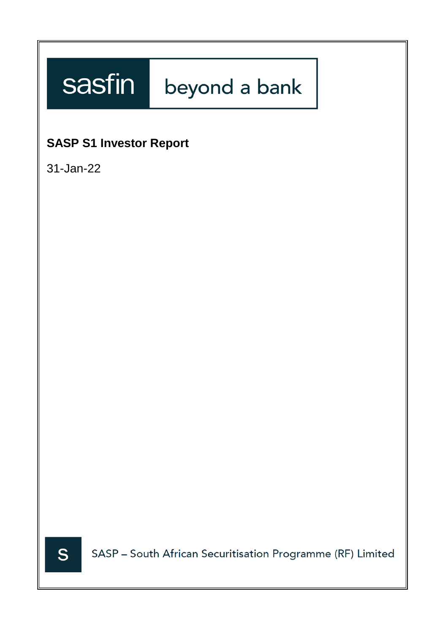# sasfin beyond a bank

# **SASP S1 Investor Report**

31-Jan-22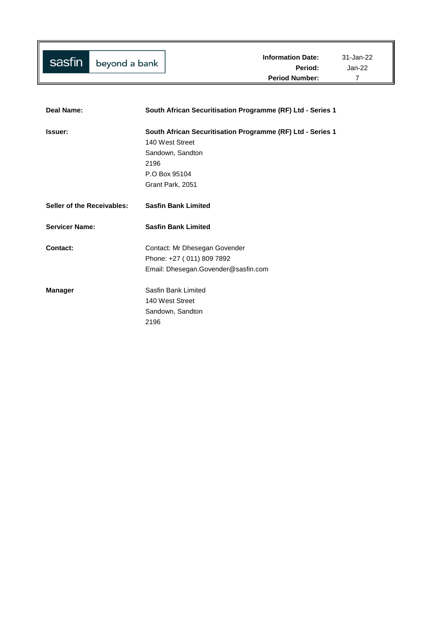| Deal Name:                 | South African Securitisation Programme (RF) Ltd - Series 1 |
|----------------------------|------------------------------------------------------------|
| Issuer:                    | South African Securitisation Programme (RF) Ltd - Series 1 |
|                            | 140 West Street                                            |
|                            | Sandown, Sandton                                           |
|                            | 2196                                                       |
|                            | P.O Box 95104                                              |
|                            | Grant Park, 2051                                           |
| Seller of the Receivables: | <b>Sasfin Bank Limited</b>                                 |
| <b>Servicer Name:</b>      | <b>Sasfin Bank Limited</b>                                 |
| Contact:                   | Contact: Mr Dhesegan Govender                              |
|                            | Phone: +27 (011) 809 7892                                  |
|                            | Email: Dhesegan.Govender@sasfin.com                        |
| <b>Manager</b>             | Sasfin Bank Limited                                        |
|                            | 140 West Street                                            |
|                            | Sandown, Sandton                                           |
|                            | 2196                                                       |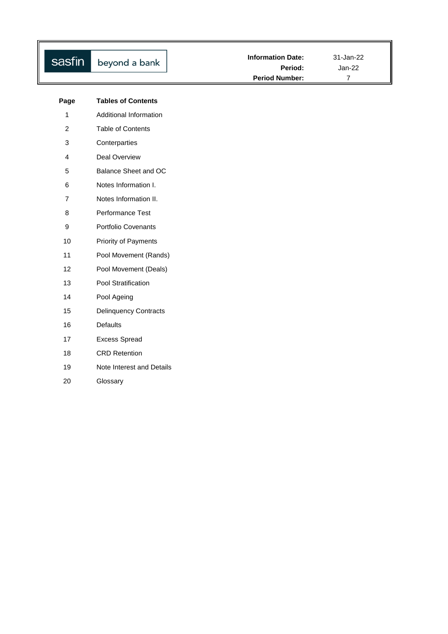| sasfin                  | beyond a bank                | <b>Information Date:</b><br>Period:<br><b>Period Number:</b> | 31-Jan-22<br>$Jan-22$<br>$\overline{7}$ |
|-------------------------|------------------------------|--------------------------------------------------------------|-----------------------------------------|
| Page                    | <b>Tables of Contents</b>    |                                                              |                                         |
| $\mathbf{1}$            | Additional Information       |                                                              |                                         |
| $\overline{c}$          | Table of Contents            |                                                              |                                         |
| 3                       | Conterparties                |                                                              |                                         |
| $\overline{\mathbf{4}}$ | <b>Deal Overview</b>         |                                                              |                                         |
| 5                       | Balance Sheet and OC         |                                                              |                                         |
| 6                       | Notes Information I.         |                                                              |                                         |
| $\overline{7}$          | Notes Information II.        |                                                              |                                         |
| 8                       | Performance Test             |                                                              |                                         |
| 9                       | Portfolio Covenants          |                                                              |                                         |
| 10                      | Priority of Payments         |                                                              |                                         |
| 11                      | Pool Movement (Rands)        |                                                              |                                         |
| 12                      | Pool Movement (Deals)        |                                                              |                                         |
| 13                      | Pool Stratification          |                                                              |                                         |
| 14                      | Pool Ageing                  |                                                              |                                         |
| 15                      | <b>Delinquency Contracts</b> |                                                              |                                         |
| 16                      | Defaults                     |                                                              |                                         |
| 17                      | <b>Excess Spread</b>         |                                                              |                                         |
| 18                      | <b>CRD Retention</b>         |                                                              |                                         |
| 19                      | Note Interest and Details    |                                                              |                                         |
| 20                      | Glossary                     |                                                              |                                         |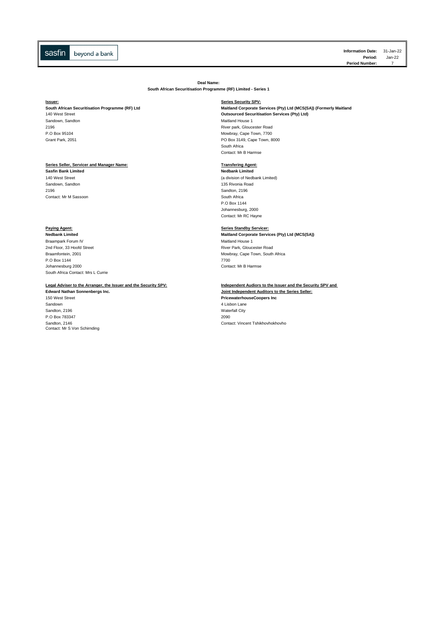**Information Date:** 31-Jan-22 **Period:** Jan-22 **Period Number:** 

**Deal Name:**

**South African Securitisation Programme (RF) Limited - Series 1**

## **Issuer: Series Security SPV:**

Sandown, Sandton<br>2196

## **Series Seller, Servicer and Manager Name: Transfering Agent:**

**Sasfin Bank Limited**<br>**140 West Street** Sandown, Sandton<br>2196 Contact: Mr M Sassoon

**Paying Agent: Series Standby Servicer:** Braampark Forum IV and the state of the state of the state of the Maitland House 1<br>2nd Floor, 33 Hoofd Street and the state of the state of the Street and The River Park, Glouce 2nd Floor, 33 Hoofd Street **River Park, Gloucester Road**<br>Braamfontein, 2001 P.O Box 1144<br>Johannesburg 2000 [South Africa Contact: Mrs L Currie](mailto:treasury@sasfin.com)

## **Legal Adviser to the Arranger, the Issuer and the Security SPV: Independent Audiors to the Issuer and the Security SPV and**

Sandown 1992<br>
Sandton, 2196<br>
Waterfall City Naterfall City Sandton, 2196 Waterfall City of the Sandton, 2196 Waterfall City of the Sandton, 2000 Waterfall City of the Sandton City of the Sandton City of the Sandton City of the Sandton City of the Sandton City of the Sandton City o P.O Box 783347 Sandton, 2146<br>Contact: Mr S Von Schirnding

## **South African Securitisation Programme (RF) Ltd Maitland Corporate Services (Pty) Ltd (MCS(SA)) (Formerly Maitland 140 West Street <b>Communisty Communisty Communisty Communisty** Communisty Communisty Communisty Communist Outsourced Securitisation Services (Pty) Ltd)<br>Maitland House 1

2196 River park, Gloucester Road P.O Box 95104 Mowbray, Cape Town, 7700<br>
Grant Park, 2051 Crambus Cape Town, 80 Crambus Cape Town, 80 Crambus Cape Town, 80 Crambus Cape Town, 80 Crambus C PO Box 3149, Cape Town, 8000 South Africa Contact: Mr B Harmse

(a division of Nedbank Limited)<br>135 Rivonia Road Sandton, 2196<br>South Africa P.O Box 1144 Johannesburg, 2000 Contact: Mr RC Hayne

**Maitland Corporate Services (Pty) Ltd (MCS(SA))** Mowbray, Cape Town, South Africa<br>7700 Contact: Mr B Harmse

**Joint Independent Auditors to the Series Seller:** 150 West Street **PricewaterhouseCoopers Inc** Contact: Vincent Tshikhovhokhovho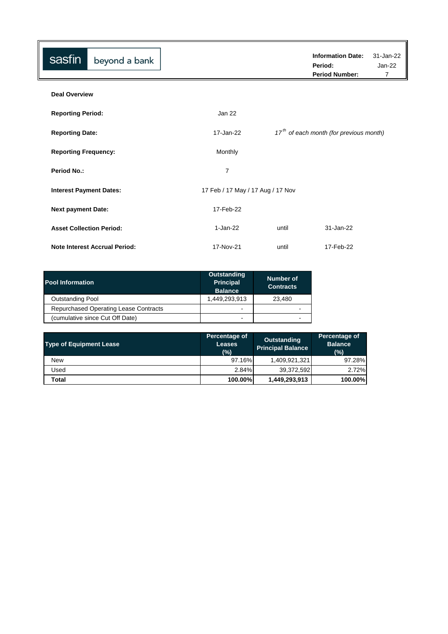| sasfin                          | beyond a bank                        |                                   |                                           | <b>Information Date:</b> | 31-Jan-22 |  |  |
|---------------------------------|--------------------------------------|-----------------------------------|-------------------------------------------|--------------------------|-----------|--|--|
|                                 |                                      |                                   | Period:                                   |                          | $Jan-22$  |  |  |
|                                 |                                      |                                   |                                           | <b>Period Number:</b>    | 7         |  |  |
| <b>Deal Overview</b>            |                                      |                                   |                                           |                          |           |  |  |
| <b>Reporting Period:</b>        |                                      | Jan 22                            |                                           |                          |           |  |  |
| <b>Reporting Date:</b>          |                                      | 17-Jan-22                         | $17th$ of each month (for previous month) |                          |           |  |  |
| <b>Reporting Frequency:</b>     |                                      | Monthly                           |                                           |                          |           |  |  |
| <b>Period No.:</b>              |                                      | 7                                 |                                           |                          |           |  |  |
| <b>Interest Payment Dates:</b>  |                                      | 17 Feb / 17 May / 17 Aug / 17 Nov |                                           |                          |           |  |  |
| <b>Next payment Date:</b>       |                                      | 17-Feb-22                         |                                           |                          |           |  |  |
| <b>Asset Collection Period:</b> |                                      | 1-Jan-22                          | until                                     | 31-Jan-22                |           |  |  |
|                                 | <b>Note Interest Accrual Period:</b> | 17-Nov-21                         | until                                     | 17-Feb-22                |           |  |  |

| <b>Pool Information</b>               | <b>Outstanding</b><br><b>Principal</b><br><b>Balance</b> | Number of<br><b>Contracts</b> |
|---------------------------------------|----------------------------------------------------------|-------------------------------|
| <b>Outstanding Pool</b>               | 1,449,293,913                                            | 23.480                        |
| Repurchased Operating Lease Contracts | $\overline{\phantom{0}}$                                 | $\,$                          |
| (cumulative since Cut Off Date)       | $\overline{\phantom{0}}$                                 | -                             |

| <b>Type of Equipment Lease</b> | Percentage of<br><b>Leases</b><br>(%) | Outstanding<br><b>Principal Balance</b> | Percentage of<br><b>Balance</b><br>(%) |
|--------------------------------|---------------------------------------|-----------------------------------------|----------------------------------------|
| <b>New</b>                     | 97.16%                                | 1,409,921,321                           | 97.28%                                 |
| Used                           | 2.84%                                 | 39,372,592                              | 2.72%                                  |
| Total                          | 100.00%                               | 1,449,293,913                           | 100.00%                                |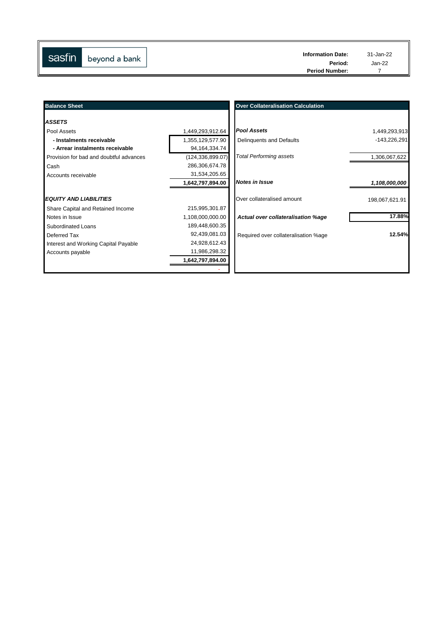| Period:<br>Jan-22<br><b>Period Number:</b> | $\  \$<br>sasfin | beyond a bank | <b>Information Date:</b> | 31-Jan-22 |
|--------------------------------------------|------------------|---------------|--------------------------|-----------|
|                                            |                  |               |                          |           |
|                                            |                  |               |                          |           |

| <b>Balance Sheet</b>                    |                    | <b>Over Collateralisation Calculation</b> |                |
|-----------------------------------------|--------------------|-------------------------------------------|----------------|
| <b>ASSETS</b>                           |                    |                                           |                |
| Pool Assets                             | 1,449,293,912.64   | <b>Pool Assets</b>                        | 1,449,293,913  |
| - Instalments receivable                | 1,355,129,577.90   | Delinquents and Defaults                  | -143,226,291   |
| - Arrear instalments receivable         | 94, 164, 334. 74   |                                           |                |
| Provision for bad and doubtful advances | (124, 336, 899.07) | <b>Total Performing assets</b>            | 1,306,067,622  |
| Cash                                    | 286,306,674.78     |                                           |                |
| Accounts receivable                     | 31,534,205.65      |                                           |                |
|                                         | 1,642,797,894.00   | <b>Notes in Issue</b>                     | 1,108,000,000  |
| <b>EQUITY AND LIABILITIES</b>           |                    | Over collateralised amount                | 198,067,621.91 |
| Share Capital and Retained Income       | 215,995,301.87     |                                           |                |
| Notes in Issue                          | 1,108,000,000.00   | Actual over collateralisation %age        | 17.88%         |
| Subordinated Loans                      | 189,448,600.35     |                                           |                |
| Deferred Tax                            | 92,439,081.03      | Required over collateralisation %age      | 12.54%         |
| Interest and Working Capital Payable    | 24,928,612.43      |                                           |                |
| Accounts payable                        | 11,986,298.32      |                                           |                |
|                                         | 1,642,797,894.00   |                                           |                |
|                                         |                    |                                           |                |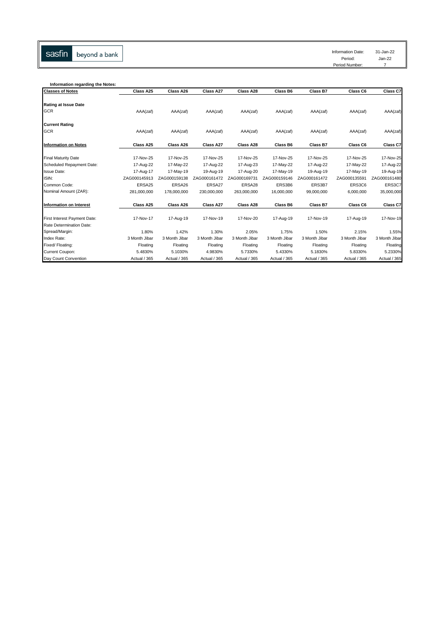sasfin

Information Date: 31-Jan-22

Period: Jan-22

Period Number: 7

| Information regarding the Notes: |               |               |               |               |               |               |               |               |
|----------------------------------|---------------|---------------|---------------|---------------|---------------|---------------|---------------|---------------|
| <b>Classes of Notes</b>          | Class A25     | Class A26     | Class A27     | Class A28     | Class B6      | Class B7      | Class C6      | Class C7      |
| <b>Rating at Issue Date</b>      |               |               |               |               |               |               |               |               |
| GCR                              | AAA(zaf)      | AAA(zaf)      | AAA(zaf)      | AAA(zaf)      | AAA(zaf)      | AAA(zaf)      | AAA(zaf)      | AAA(zaf)      |
| <b>Current Rating</b>            |               |               |               |               |               |               |               |               |
| GCR                              | AAA(zaf)      | AAA(zaf)      | AAA(zaf)      | AAA(zaf)      | AAA(zaf)      | AAA(zaf)      | AAA(zaf)      | AAA(zaf)      |
| Information on Notes             | Class A25     | Class A26     | Class A27     | Class A28     | Class B6      | Class B7      | Class C6      | Class C7      |
| <b>Final Maturity Date</b>       | 17-Nov-25     | 17-Nov-25     | 17-Nov-25     | 17-Nov-25     | 17-Nov-25     | 17-Nov-25     | 17-Nov-25     | 17-Nov-25     |
| Scheduled Repayment Date:        | 17-Aug-22     | 17-May-22     | 17-Aug-22     | 17-Aug-23     | 17-May-22     | 17-Aug-22     | 17-May-22     | 17-Aug-22     |
| <b>Issue Date:</b>               | 17-Aug-17     | 17-May-19     | 19-Aug-19     | 17-Aug-20     | 17-May-19     | 19-Aug-19     | 17-May-19     | 19-Aug-19     |
| ISIN:                            | ZAG000145913  | ZAG000159138  | ZAG000161472  | ZAG000169731  | ZAG000159146  | ZAG000161472  | ZAG000135591  | ZAG000161480  |
| Common Code:                     | ERSA25        | ERSA26        | ERSA27        | ERSA28        | ERS3B6        | ERS3B7        | ERS3C6        | ERS3C7        |
| Nominal Amount (ZAR):            | 281,000,000   | 178,000,000   | 230,000,000   | 263,000,000   | 16,000,000    | 99,000,000    | 6,000,000     | 35,000,000    |
| <b>Information on Interest</b>   | Class A25     | Class A26     | Class A27     | Class A28     | Class B6      | Class B7      | Class C6      | Class C7      |
|                                  |               |               |               |               |               |               |               |               |
| First Interest Payment Date:     | 17-Nov-17     | 17-Aug-19     | 17-Nov-19     | 17-Nov-20     | 17-Aug-19     | 17-Nov-19     | 17-Aug-19     | 17-Nov-19     |
| Rate Determination Date:         |               |               |               |               |               |               |               |               |
| Spread/Margin:                   | 1.80%         | 1.42%         | 1.30%         | 2.05%         | 1.75%         | 1.50%         | 2.15%         | 1.55%         |
| Index Rate:                      | 3 Month Jibar | 3 Month Jibar | 3 Month Jibar | 3 Month Jibar | 3 Month Jibar | 3 Month Jibar | 3 Month Jibar | 3 Month Jibar |
| Fixed/ Floating:                 | Floating      | Floating      | Floating      | Floating      | Floating      | Floating      | Floating      | Floating      |
| Current Coupon:                  | 5.4830%       | 5.1030%       | 4.9830%       | 5.7330%       | 5.4330%       | 5.1830%       | 5.8330%       | 5.2330%       |
| Day Count Convention             | Actual / 365  | Actual / 365  | Actual / 365  | Actual / 365  | Actual / 365  | Actual / 365  | Actual / 365  | Actual / 365  |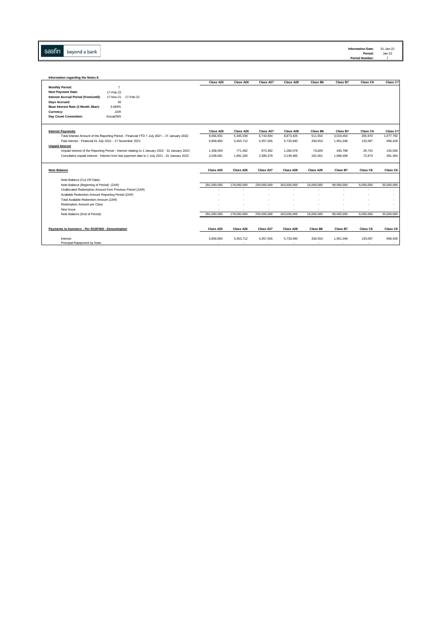Sasfin beyond a bank

| Information regarding the Notes II.                                                                                     |             |             |                |             |            |            |           |            |
|-------------------------------------------------------------------------------------------------------------------------|-------------|-------------|----------------|-------------|------------|------------|-----------|------------|
|                                                                                                                         | Class A25   | Class A26   | Class A27      | Class A28   | Class B6   | Class B7   | Class C6  | Class C7   |
| <b>Monthly Period:</b>                                                                                                  |             |             |                |             |            |            |           |            |
| <b>Next Payment Date:</b><br>17-Feb-22                                                                                  |             |             |                |             |            |            |           |            |
| Interest Accrual Period (from/until):<br>17-Nov-21<br>17-Feb-22                                                         |             |             |                |             |            |            |           |            |
| Days Accrued:<br>92                                                                                                     |             |             |                |             |            |            |           |            |
| 3.683%<br>Base Interest Rate (3 Month Jibar):                                                                           |             |             |                |             |            |            |           |            |
| ZAR<br>Currency:                                                                                                        |             |             |                |             |            |            |           |            |
| Day Count Convention:<br>Actual/365                                                                                     |             |             |                |             |            |            |           |            |
|                                                                                                                         | Class A25   | Class A26   | Class A27      | Class A28   | Class B6   | Class B7   | Class C6  | Class C7   |
| <b>Interest Payments</b><br>Total Interest Amount of the Reporting Period - Financial YTD 1 July 2021 - 31 January 2022 | 9,066,931   | 5,345,038   | 6,743,934      | 8,873,425   | 511,554    | 3,019,454  | 205,970   | 1,077,792  |
| Paid interest - Financial 01 July 2021 - 17 November 2021                                                               | 5,858,850   | 3,453,712   | 4,357,555      | 5,733,940   | 330,553    | 1,951,046  | 133,097   | 696,428    |
| <b>Unpaid Interest</b>                                                                                                  |             |             |                |             |            |            |           |            |
| Unpaid interest of the Reporting Period - Interest relating to 1 January 2022 - 31 January 2022                         | 1,308,559   | 771.462     | 973.392        | 1.280.579   | 73.829     | 435.798    | 29.724    | 155,556    |
| Cumulative unpaid interest - Interest from last payment date to 1 July 2021 - 31 January 2022                           | 3.208.081   | 1,891,326   | 2,386,379      | 3,139,485   | 181,001    | 1.068.408  | 72.873    | 381.364    |
|                                                                                                                         |             |             |                |             |            |            |           |            |
| <b>Note Balance</b>                                                                                                     | Class A25   | Class A26   | Class A27      | Class A28   | Class A29  | Class B7   | Class C6  | Class C6   |
| Note Balance (Cut Off Date):                                                                                            |             |             |                |             |            |            |           |            |
| Note Balance (Beginning of Period): (ZAR)                                                                               | 281.000.000 | 178,000,000 | 230.000.000    | 263.000.000 | 16,000,000 | 99.000.000 | 6.000.000 | 35,000,000 |
| Unallocated Redemption Amount from Previous Period (ZAR)                                                                |             |             | ٠              |             |            |            | $\sim$    |            |
| Available Redemtion Amount Reporting Period (ZAR)                                                                       |             |             |                |             |            |            |           | ٠          |
| Total Available Redemtion Amount (ZAR)                                                                                  |             |             |                |             |            |            |           |            |
| Redemption Amount per Class                                                                                             |             |             |                |             |            |            |           |            |
| New Issue                                                                                                               |             |             | $\blacksquare$ |             |            |            |           | ٠          |
| Note Balance (End of Period):                                                                                           | 281,000,000 | 178,000,000 | 230,000,000    | 263.000.000 | 16,000,000 | 99,000,000 | 6,000,000 | 35,000,000 |
|                                                                                                                         |             |             |                |             |            |            |           |            |
| Payments to Investors - Per R100'000 - Denomination                                                                     | Class A25   | Class A26   | Class A27      | Class A28   | Class B6   | Class B7   | Class C6  | Class C6   |
| Interest                                                                                                                | 5.858.850   | 3.453.712   | 4,357,555      | 5,733,940   | 330,553    | 1.951.046  | 133,097   | 696,428    |
| Principal Repayment by Note:                                                                                            |             |             | ÷              |             |            |            |           |            |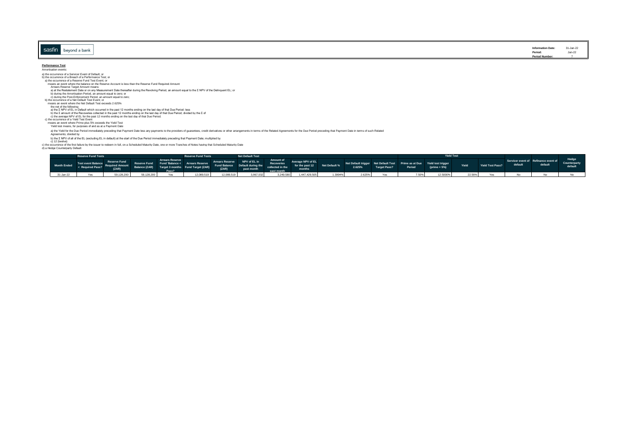|                         | Information Date:         | 31-Jan-22 |
|-------------------------|---------------------------|-----------|
| sasfir<br>oeyond a bank | inormation pate.          | Jan-22    |
|                         | Period:<br>Period Number: |           |

## **Performance Test**<br>Amortisation events:

Amortisation events: a) the occurrence of a Servicer Event of Default; or b) the occurrence of a Breach of a Performance Test; or a) the occurrence of a Reserve Fund Test Event; or Arrears Reserve Target Amount means:<br>
a) at the Restatement Date or on any Measurement Date thereafter during the Revolving Period, an amount equal to the Σ NPV of the Delinquent EL; or<br>
b) during the PAnchastion Period, a means an event where the balance on the Reserve Account is less than the Reserve Fund Required Amount

a) the Yield for the Due Period immediately preceding that Payment Date less any payments to the providers of guarantees, credit derivatives or other arrangements in terms of the Related Agreements for the Due Period prece

### Agreements; divided by

b) the XIPV of all of the EL (excluding EL in default) at the start of the Due Period immediately preceding that Payment Date; multiplied by<br>c) the cocurrence of the first failure by the issuer to redeem in full, on a Sche

|           | <b>Reserve Fund Tests</b>                                                                                                                                                                                                        |  | <b>Reserve Fund Tests</b>                                                             | <b>Net Default Test</b> |  |  |  |  |                                                                                                                                                                                                                                | Yield Test |          |        |                  |         |                                                 |                                  |
|-----------|----------------------------------------------------------------------------------------------------------------------------------------------------------------------------------------------------------------------------------|--|---------------------------------------------------------------------------------------|-------------------------|--|--|--|--|--------------------------------------------------------------------------------------------------------------------------------------------------------------------------------------------------------------------------------|------------|----------|--------|------------------|---------|-------------------------------------------------|----------------------------------|
|           | Month Ended Test ovent Balance Reserve Fund Fund Balance Arrears Reserve Afrears Reserve MPV of EL Amount Reverage NPV of EL Amount Recorded Amount Recorded Amount Section 4 (1998)<br>A Required Pass? Required Amount Balance |  |                                                                                       |                         |  |  |  |  |                                                                                                                                                                                                                                |            |          | Yield  | Yield Test Pass? | default | Servicer event of Refinance event of<br>default | Hedge<br>Counterparty<br>default |
| 31-Jan-22 |                                                                                                                                                                                                                                  |  | 59,128,200 Yes 12,089,519 12,089,519 3,967,032 3,249,580 1,447,429,505 1.3994% 2.625% |                         |  |  |  |  | Yes and the same of the same of the same of the same of the same of the same of the same of the same of the same of the same of the same of the same of the same of the same of the same of the same of the same of the same o |            | 12.5000% | 22.56% |                  |         |                                                 |                                  |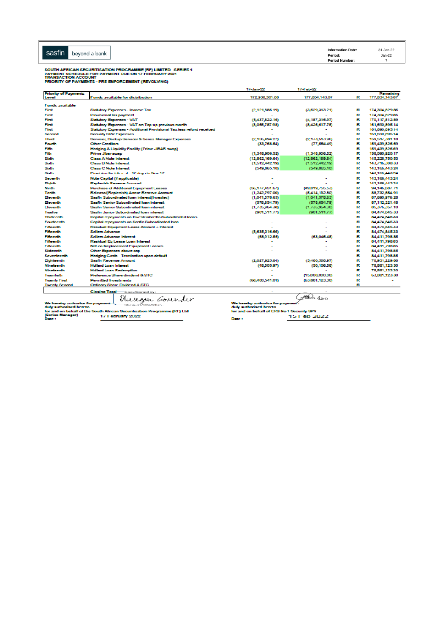SOUTH AFRICAN SECURITISATION PROGRAMME (RF) LIMITED - SERIES 1<br>PAYMENT SCHEDULE FOR PAYMENT DUE ON 17 FEBRUARY 2021<br>TRANSACTION ACCOUNT<br>PRIORITY OF PAYMENTS - PRE ENFORCEMENT (REVOLVING)

|                                   |                                                                          | 17-Jan 22                                  | 17-Feb-22         |   |                   |
|-----------------------------------|--------------------------------------------------------------------------|--------------------------------------------|-------------------|---|-------------------|
| <b>Priority of Payments</b>       |                                                                          |                                            |                   |   | Remaining         |
| Level                             | Funds available for distribution                                         | 172.938.301.88                             | 177,834,143,07    | R | 177,834,143,07    |
| <b>Funds available</b>            |                                                                          |                                            |                   |   |                   |
| First                             | <b>Statutory Expenses - Income Tax</b>                                   | (2.121,885.19)                             | (3.529.313.21)    | R | 174.304.829.86    |
| First                             | Provisional tax payment                                                  |                                            |                   | R | 174,304,829.86    |
| First                             | <b>Statutory Expenses - VAT</b>                                          | (6,437,822.16)                             | (4,187,316.97)    | R | 170,117,512.89    |
| First                             | Statutory Expenses - VAT on Top-up previous month                        | (8,055,787.98)                             | (8,426,617,75)    | R | 161,690,895.14    |
| First                             | Statutory Expenses - Additional Provisional Tax less refund received     |                                            |                   | R | 161.690.895.14    |
| Second                            | Security SPV Expenses                                                    |                                            |                   | R | 161,690,895,14    |
| Third                             | Servicer, Backup Servicer & Series Manager Expenses                      | (2,156,494,27)                             | (2, 173, 513, 96) | R | 159,517,381.18    |
| Fourth                            | <b>Other Creditors</b>                                                   | (33,768.54)                                | (77,554.49)       | ĸ | 159,439,826.69    |
| Fah                               | Hedging & Liquidity Facility (Prime JIBAR swep)                          |                                            |                   | R | 159,439,826.69    |
| Fah                               | Prime Jiber swep                                                         | (1,348,906.52)                             | (1,348,906.52)    | R | 158.090.920.17    |
| Sixth                             | Class A Note Interest                                                    | (12, 862, 169.64)                          | (12.862.169.64)   | R | 145,228,750.53    |
| Sixth                             | Class B Note Interest                                                    | (1.512.442.19)                             | (1,512,442.19)    | R | 143,716,308.33    |
| Sixth                             | <b>Class C Note Interest</b>                                             | (549,865.10)                               | (549.865.10)      | R | 143, 166, 443, 24 |
| Sixth                             | Provision for interest - 17 days in Nov 17                               |                                            |                   | R | 143, 166, 443.24  |
| Seventh                           | Note Capital (if applicable)                                             |                                            |                   | R | 143, 166, 443, 24 |
| <b>Sghth</b>                      | Replenish Reserve Account                                                |                                            |                   | R | 143.166.443.24    |
| Ning By                           | Purchase of Additional Equipment Leases                                  | (56, 177, 451, 67)                         | (49,019,755.53)   | R | 94.145.687.71     |
| Tenth                             | Release (Replenish) Arrear Reserve Account                               | (1,242,797.00)                             | (5,414,132.80)    | R | 88,732,554.91     |
| <b>Beventh</b>                    | Sashn Subordinated Ioan interest(Invested)                               | (1.041, 578.63)                            | (1.041.578.63)    | R | 87.690.976.28     |
| <b>Beventh</b>                    | Sashn Senior Subordinated Ioan interest                                  | (578, 654, 79)                             | (578.654.79)      | R | 87,112,321.48     |
| <b>Beverity</b>                   | Sastin Senior Subordinated Joan interest                                 | (1,735,964,38)                             | (1,735,954,38)    | R | 85,376,357.10     |
| <b>Tuesday</b>                    | Sasfin Junior Subordinated loan interest                                 | (901.511.77)                               | (901.511.77)      | R | 84,474,845,33     |
| <b>Thirleenth</b>                 | Capital repayments on Invested/Sastin Subordinated loans                 |                                            |                   | R | 84,474,845,33     |
| Fourteenth                        | Capital repayments on Sastin Subordinated loan                           |                                            |                   | R | 84,474,845,33     |
| Filbergh                          | Residual Equipment Lease Amount + Interest                               |                                            |                   | R | 84,474,845,33     |
| Fillmenth                         | <b>Sellers Advance</b>                                                   | (5.635, 316.66)                            |                   | R | 84,474,845,33     |
| Fillmenth                         | Sellers Advance Interest                                                 | (68,912.56)                                | (63,046.48)       | R | 84,411,798.85     |
| <b>Fillmouth</b>                  | Residual Ea Lease Loan Interest                                          |                                            |                   | R | 84,411,798.85     |
| Fillmouth                         | Net on Replacement Equipment Leases                                      |                                            |                   | R | 84,411,798.85     |
| Sixteerth                         | Other Expenses above cap                                                 |                                            |                   | R | 84,411,798,85     |
| Seventeerdh                       | Hedging Costs - Termination upon default                                 |                                            |                   | R | 84,411,798.85     |
| <b>Eighteenth</b>                 | Sanfor Reservoe Amount                                                   | (2,027,925.84)                             | (5,480,568.97)    | R | 78,931,229.88     |
| Nineteenth                        | <b>Hollard Loan Interest</b>                                             | (48,505.97)                                | (50,106.58)       | R | 78,881,123,30     |
| Nineteenth                        | <b>Hollard Loan Redemption</b>                                           |                                            |                   | R | 78,881,123,30     |
| Twentieth.                        | Preference Share dividend & STC                                          |                                            | (15,000,000.00)   | R | 63,881,123.30     |
| <b>Twenty First</b>               | <b>Permitted Investments</b>                                             | (68,400,541.01)                            | (63,881,123,30)   | R |                   |
| <b>Twenty Second</b>              | Ordinary Share Dividend & STC                                            |                                            |                   | R |                   |
|                                   |                                                                          |                                            |                   |   |                   |
|                                   | Closing Total-OocuSigned by:                                             |                                            |                   |   |                   |
|                                   | Musigar <i>Gov</i> indir                                                 |                                            | Badoo             |   |                   |
| We hereby authorise for payment : |                                                                          | We hereby authorise for payment :          |                   |   |                   |
| duly authorised hereto            |                                                                          | duly authorised hereto                     |                   |   |                   |
| (Series Manager)                  | for and on behalf of the South African Securitisation Programme (RF) Ltd | for and on behalf of ERS No 1 Security SPV |                   |   |                   |
| Date:                             | 17 February 2022                                                         | Date:                                      | 15 Feb 2022       |   |                   |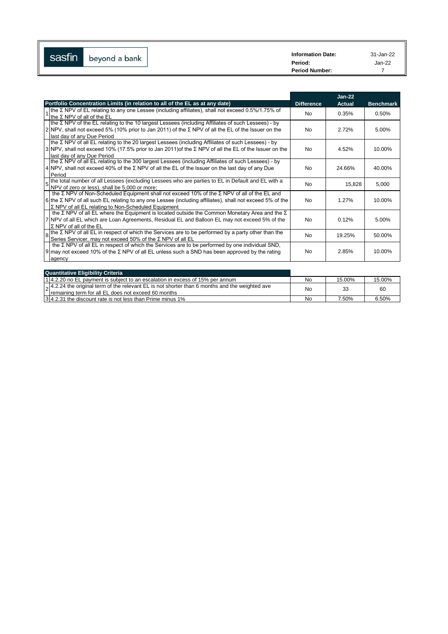| --<br>$\mathsf{I}$<br>sasfin | beyond a bank | <b>Information Date:</b> | 31-Jan-22 |
|------------------------------|---------------|--------------------------|-----------|
|                              |               | Period:                  | Jan-22    |
|                              |               | <b>Period Number:</b>    |           |

|                                                                                                                                                                                                                                                                                      |                   | $Jan-22$      |                  |
|--------------------------------------------------------------------------------------------------------------------------------------------------------------------------------------------------------------------------------------------------------------------------------------|-------------------|---------------|------------------|
| Portfolio Concentration Limits (in relation to all of the EL as at any date)                                                                                                                                                                                                         | <b>Difference</b> | <b>Actual</b> | <b>Benchmark</b> |
| Ithe Σ NPV of EL relating to any one Lessee (including affiliates), shall not exceed 0.5%/1.75% of<br>Ithe Σ NPV of all of the EL                                                                                                                                                    | N <sub>0</sub>    | 0.35%         | 0.50%            |
| the Σ NPV of the EL relating to the 10 largest Lessees (including Affiliates of such Lessees) - by<br>2 NPV, shall not exceed 5% (10% prior to Jan 2011) of the Σ NPV of all the EL of the Issuer on the<br>last day of any Due Period                                               | N <sub>0</sub>    | 2.72%         | 5.00%            |
| $\{$ the Σ NPV of all EL relating to the 20 largest Lessees (including Affiliates of such Lessees) - by<br>$3 NPV$ , shall not exceed 10% (17.5% prior to Jan 2011) of the $\Sigma$ NPV of all the EL of the Issuer on the<br>last day of any Due Period                             | N <sub>0</sub>    | 4.52%         | 10.00%           |
| Ithe Σ NPV of all EL relating to the 300 largest Lessees (including Affiliates of such Lessees) - by<br>4 NPV, shall not exceed 40% of the $\Sigma$ NPV of all the EL of the Issuer on the last day of any Due<br>Period                                                             | N <sub>0</sub>    | 24.66%        | 40.00%           |
| the total number of all Lessees (excluding Lessees who are parties to EL in Default and EL with a<br>NPV of zero or less), shall be 5,000 or more;                                                                                                                                   | N <sub>0</sub>    | 15,828        | 5,000            |
| the $\Sigma$ NPV of Non-Scheduled Equipment shall not exceed 10% of the $\Sigma$ NPV of all of the EL and<br>6 lthe $\Sigma$ NPV of all such EL relating to any one Lessee (including affiliates), shall not exceed 5% of the<br>Σ NPV of all EL relating to Non-Scheduled Equipment | N <sub>0</sub>    | 1.27%         | 10.00%           |
| the $\Sigma$ NPV of all EL where the Equipment is located outside the Common Monetary Area and the $\Sigma$<br>7 NPV of all EL which are Loan Agreements, Residual EL and Balloon EL may not exceed 5% of the<br>$\Sigma$ NPV of all of the EL                                       | <b>No</b>         | 0.12%         | 5.00%            |
| Ithe $\Sigma$ NPV of all EL in respect of which the Services are to be performed by a party other than the<br>$\mathbf{8}$<br>Series Servicer, may not exceed 50% of the Σ NPV of all EL                                                                                             | N <sub>0</sub>    | 19.25%        | 50.00%           |
| the $\Sigma$ NPV of all EL in respect of which the Services are to be performed by one individual SND,<br>$9$ may not exceed 10% of the Σ NPV of all EL unless such a SND has been approved by the rating<br>agency                                                                  | No.               | 2.85%         | 10.00%           |

| <b>Quantitative Eligibility Criteria</b>                                                                                                                               |    |        |        |
|------------------------------------------------------------------------------------------------------------------------------------------------------------------------|----|--------|--------|
| 14.2.20 no EL payment is subject to an escalation in excess of 15% per annum                                                                                           | No | 15.00% | 15.00% |
| $\vert_{\Omega}$ 4.2.24 the original term of the relevant EL is not shorter than 6 months and the weighted ave<br>Iremaining term for all EL does not exceed 60 months | No | 33     | 60     |
| 1314.2.31 the discount rate is not less than Prime minus 1%                                                                                                            | No | 7.50%  | 6.50%  |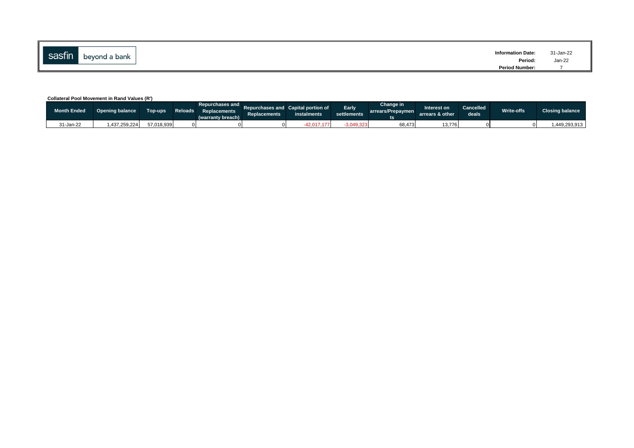| sasfin<br>beyond a bank | <b>Information Date:</b><br>Period<br>$\qquad \qquad \cdots \qquad \qquad$ | 31-Jan-22<br>Jan-22<br>$\label{eq:1.1} \begin{array}{ll} \mathbf{a} & \mathbf{b} & \mathbf{c} \\ \mathbf{c} & \mathbf{c} & \mathbf{c} \end{array}$ |
|-------------------------|----------------------------------------------------------------------------|----------------------------------------------------------------------------------------------------------------------------------------------------|
|                         | <b>Period Number:</b>                                                      |                                                                                                                                                    |

### **Collateral Pool Movement in Rand Values (R')**

| <b>Month Ended</b> | Opening balance | Top-ups    | Reloads 4 | Repurchases and L<br>Replacements<br>(warranty breach) | <b>Replacements</b> | Repurchases and Capital portion of<br>instalments | Early<br>settlements | Change in<br>arrears/Prepaymen | Interest on<br>arrears & other | <b>Cancelled</b><br>deals | Write-offs | <b>Closing balance</b> |
|--------------------|-----------------|------------|-----------|--------------------------------------------------------|---------------------|---------------------------------------------------|----------------------|--------------------------------|--------------------------------|---------------------------|------------|------------------------|
| 31-Jan-22          | .437.259.224    | 57.018.939 |           |                                                        |                     |                                                   | 3.049.323            | 68,473                         | 13.7761                        |                           |            | .449.293.913           |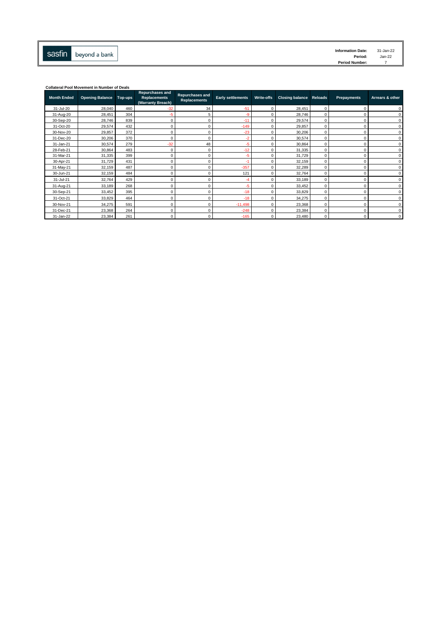

| <b>Information Date:</b> | $31 - Jan-22$ |
|--------------------------|---------------|
| Period:                  | $Jan-22$      |
| <b>Period Number:</b>    |               |

| <b>Collateral Pool Movement in Number of Deals</b> |                        |         |                                                                    |                                               |                          |              |                                |          |             |                 |
|----------------------------------------------------|------------------------|---------|--------------------------------------------------------------------|-----------------------------------------------|--------------------------|--------------|--------------------------------|----------|-------------|-----------------|
| <b>Month Ended</b>                                 | <b>Opening Balance</b> | Top-ups | <b>Repurchases and</b><br><b>Replacements</b><br>(Warranty Breach) | <b>Repurchases and</b><br><b>Replacements</b> | <b>Early settlements</b> | Write-offs   | <b>Closing balance Reloads</b> |          | Prepayments | Arrears & other |
| 31-Jul-20                                          | 28,040                 | 460     | $-32$                                                              | 34                                            | $-51$                    | $\Omega$     | 28,451                         | $\Omega$ |             | $\Omega$        |
| 31-Aug-20                                          | 28,451                 | 304     | -5                                                                 | 5                                             | -9                       | $\Omega$     | 28.746                         | $\Omega$ |             | $\Omega$        |
| 30-Sep-20                                          | 28,746                 | 839     | $^{\circ}$                                                         | 0                                             | $-11$                    | 0            | 29,574                         | $\Omega$ | $\Omega$    | $\mathbf 0$     |
| 31-Oct-20                                          | 29,574                 | 432     | $\Omega$                                                           | $\Omega$                                      | $-149$                   | $\Omega$     | 29,857                         | $\Omega$ | O           | $\Omega$        |
| 30-Nov-20                                          | 29,857                 | 372     | $\mathbf 0$                                                        | 0                                             | $-23$                    | $\Omega$     | 30.206                         | $\Omega$ | 0           | 0               |
| 31-Dec-20                                          | 30,206                 | 370     | $\mathbf 0$                                                        | $\Omega$                                      | $-2$                     | $\Omega$     | 30.574                         | $\Omega$ | $\Omega$    | $\Omega$        |
| 31-Jan-21                                          | 30,574                 | 279     | $-32$                                                              | 48                                            | $-5$                     | $\Omega$     | 30.864                         | 0        | 0           | 0               |
| 28-Feb-21                                          | 30,864                 | 483     | $^{\circ}$                                                         | 0                                             | $-12$                    | $\Omega$     | 31,335                         | $\Omega$ | 0           | $\mathbf 0$     |
| 31-Mar-21                                          | 31,335                 | 399     | $\mathbf 0$                                                        | 0                                             | $-5$                     | $\Omega$     | 31.729                         | $\Omega$ |             | $\Omega$        |
| 30-Apr-21                                          | 31,729                 | 431     | $\Omega$                                                           | $\Omega$                                      | $-1$                     | $\Omega$     | 32,159                         | $\Omega$ | $\Omega$    | $\Omega$        |
| 31-May-21                                          | 32,159                 | 487     | $^{\circ}$                                                         | $\Omega$                                      | $-357$                   | $\Omega$     | 32,289                         | $\Omega$ | O           | $\mathbf 0$     |
| 30-Jun-21                                          | 32,159                 | 484     | $^{\circ}$                                                         | 0                                             | 121                      | $\Omega$     | 32,764                         | $\Omega$ | 0           | $\Omega$        |
| 31-Jul-21                                          | 32,764                 | 429     | $^{\circ}$                                                         | 0                                             | -4                       | $\Omega$     | 33,189                         | $\Omega$ | O           | $\Omega$        |
| 31-Aug-21                                          | 33,189                 | 268     | $^{\circ}$                                                         | $\Omega$                                      | $-5$                     | $\Omega$     | 33,452                         | $\Omega$ |             | $\Omega$        |
| 30-Sep-21                                          | 33,452                 | 395     | $\Omega$                                                           | 0                                             | $-18$                    | $\Omega$     | 33,829                         | $\Omega$ |             | $\Omega$        |
| 31-Oct-21                                          | 33,829                 | 464     | $^{\circ}$                                                         | 0                                             | $-18$                    | $\Omega$     | 34,275                         | $\Omega$ |             | $\Omega$        |
| 30-Nov-21                                          | 34,275                 | 591     | $\mathbf 0$                                                        | 0                                             | $-11,498$                | $^{\circ}$   | 23,368                         | 0        | $\Omega$    | 0               |
| 31-Dec-21                                          | 23,368                 | 264     | C                                                                  | $\Omega$                                      | $-248$                   | $^{\circ}$   | 23,384                         | $\Omega$ | 0           | 0               |
| 31-Jan-22                                          | 23,384                 | 261     | $\mathbf 0$                                                        | 0                                             | $-165$                   | $\mathbf{0}$ | 23,480                         | $\Omega$ | $\Omega$    | $\Omega$        |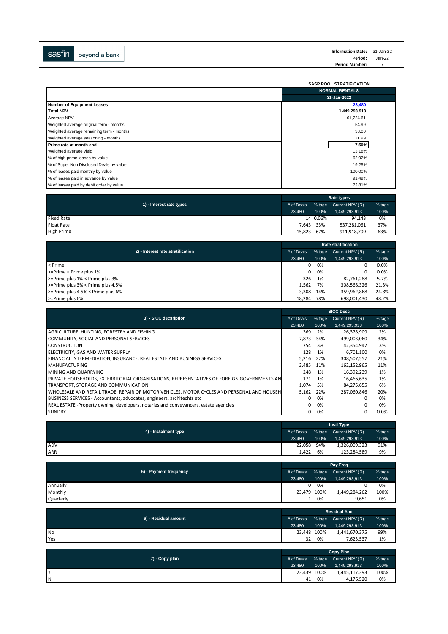

|                                          | <b>SASP POOL STRATIFICATION</b> |
|------------------------------------------|---------------------------------|
|                                          | <b>NORMAL RENTALS</b>           |
|                                          | 31-Jan-2022                     |
| <b>Number of Equipment Leases</b>        | 23,480                          |
| Total NPV                                | 1,449,293,913                   |
| Average NPV                              | 61,724.61                       |
| Weighted average original term - months  | 54.99                           |
| Weighted average remaining term - months | 33.00                           |
| Weighted average seasoning - months      | 21.99                           |
| Prime rate at month end                  | 7.50%                           |
| Weighted average yield                   | 13.18%                          |
| % of high prime leases by value          | 62.92%                          |
| % of Super Non Disclosed Deals by value  | 19.25%                          |
| % of leases paid monthly by value        | 100.00%                         |
| % of leases paid in advance by value     | 91.49%                          |
| % of leases paid by debit order by value | 72.81%                          |

|                          | Rate types |          |                 |        |  |  |
|--------------------------|------------|----------|-----------------|--------|--|--|
| 1) - Interest rate types | # of Deals | % tage   | Current NPV (R) | % tage |  |  |
|                          | 23.480     | 100%     | 1,449,293,913   | 100%   |  |  |
| <b>Fixed Rate</b>        |            | 14 0.06% | 94.143          | 0%     |  |  |
| <b>Float Rate</b>        | 7.643      | 33%      | 537,281,061     | 37%    |  |  |
| <b>High Prime</b>        | 15.823     | 67%      | 911,918,709     | 63%    |  |  |

|                                                 | <b>Rate stratification</b> |        |                 |        |  |  |
|-------------------------------------------------|----------------------------|--------|-----------------|--------|--|--|
| 2) - Interest rate stratification<br># of Deals |                            | % tage | Current NPV (R) | % tage |  |  |
|                                                 | 23.480                     | 100%   | 1,449,293,913   | 100%   |  |  |
| < Prime                                         | 0                          | 0%     | 0               | 0.0%   |  |  |
| >=Prime < Prime plus 1%                         | 0                          | 0%     | 0               | 0.0%   |  |  |
| >=Prime plus 1% < Prime plus 3%                 | 326                        | 1%     | 82,761,288      | 5.7%   |  |  |
| >=Prime plus 3% < Prime plus 4.5%               | 1.562                      | 7%     | 308,568,326     | 21.3%  |  |  |
| >=Prime plus 4.5% < Prime plus 6%               | 3.308                      | 14%    | 359.962.868     | 24.8%  |  |  |
| >=Prime plus 6%                                 | 18.284                     | 78%    | 698,001,430     | 48.2%  |  |  |

|                                                                                            | <b>SICC Desc</b> |        |                 |          |  |  |
|--------------------------------------------------------------------------------------------|------------------|--------|-----------------|----------|--|--|
| 3) - SICC decsription                                                                      | # of Deals       | % tage | Current NPV (R) | $%$ tage |  |  |
|                                                                                            | 23,480           | 100%   | 1,449,293,913   | 100%     |  |  |
| AGRICULTURE, HUNTING, FORESTRY AND FISHING                                                 | 369              | 2%     | 26,378,909      | 2%       |  |  |
| COMMUNITY, SOCIAL AND PERSONAL SERVICES                                                    | 7.873            | 34%    | 499,003,060     | 34%      |  |  |
| <b>CONSTRUCTION</b>                                                                        | 754              | 3%     | 42,354,947      | 3%       |  |  |
| ELECTRICITY, GAS AND WATER SUPPLY                                                          | 128              | 1%     | 6,701,100       | 0%       |  |  |
| FINANCIAL INTERMEDIATION, INSURANCE, REAL ESTATE AND BUSINESS SERVICES                     | 5.216            | 22%    | 308.507.557     | 21%      |  |  |
| <b>MANUFACTURING</b>                                                                       | 2.485            | 11%    | 162,152,965     | 11%      |  |  |
| MINING AND QUARRYING                                                                       | 248              | 1%     | 16,392,239      | 1%       |  |  |
| PRIVATE HOUSEHOLDS, EXTERRITORIAL ORGANISATIONS, REPRESENTATIVES OF FOREIGN GOVERNMENTS AN | 171              | 1%     | 16,466,635      | 1%       |  |  |
| TRANSPORT, STORAGE AND COMMUNICATION                                                       | 1.074            | 5%     | 84,275,655      | 6%       |  |  |
| WHOLESALE AND RETAIL TRADE; REPAIR OF MOTOR VEHICLES, MOTOR CYCLES AND PERSONAL AND HOUSEH | 5,162            | 22%    | 287,060,846     | 20%      |  |  |
| BUSINESS SERVICES - Accountants, advocates, engineers, architechts etc.                    | 0                | 0%     | 0               | 0%       |  |  |
| REAL ESTATE -Property owning, developers, notaries and conveyancers, estate agencies       | 0                | 0%     | $\Omega$        | 0%       |  |  |
| <b>SUNDRY</b>                                                                              | 0                | 0%     | 0               | $0.0\%$  |  |  |

|                      | <b>Instl Type</b> |      |                        |        |  |  |
|----------------------|-------------------|------|------------------------|--------|--|--|
| 4) - Instalment type | # of Deals        |      | % tage Current NPV (R) | % tage |  |  |
|                      | 23,480            | 100% | 1,449,293,913          | 100%   |  |  |
| ADV                  | 22,058            | 94%  | 1,326,009,323          | 91%    |  |  |
| ARR                  | 1.422             | 6%   | 123,284,589            | 9%     |  |  |

|                        | Pay Freq    |      |                        |        |
|------------------------|-------------|------|------------------------|--------|
| 5) - Payment frequency | # of Deals  |      | % tage Current NPV (R) | % tage |
|                        | 23.480      | 100% | 1,449,293,913          | 100%   |
| Annually               |             | 0%   |                        | 0%     |
| Monthly                | 23,479 100% |      | 1,449,284,262          | 100%   |
| Quarterly              |             | 0%   | 9,651                  | 0%     |

| 6) - Residual amount | <b>Residual Amt</b> |      |                        |        |  |
|----------------------|---------------------|------|------------------------|--------|--|
|                      | # of Deals          |      | % tage Current NPV (R) | % tage |  |
|                      | 23.480              | 100% | 1,449,293,913          | 100%   |  |
| <b>No</b>            | 23.448              | 100% | 1,441,670,375          | 99%    |  |
| Yes                  | 32                  | 0%   | 7,623,537              | 1%     |  |

|                | <b>Copy Plan</b> |      |                        |        |  |
|----------------|------------------|------|------------------------|--------|--|
| 7) - Copy plan | # of Deals       |      | % tage Current NPV (R) | % tage |  |
|                | 23.480           | 100% | 1,449,293,913          | 100%   |  |
| Ιv             | 23,439 100%      |      | 1,445,117,393          | 100%   |  |
| ΙN             | 41               | 0%   | 4,176,520              | 0%     |  |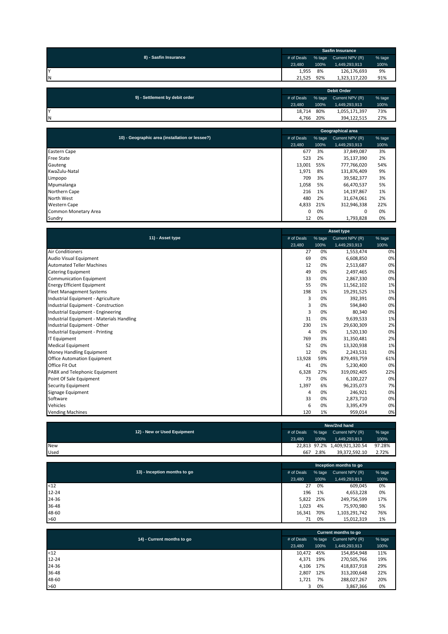|                       | <b>Sasfin Insurance</b> |      |                        |        |  |
|-----------------------|-------------------------|------|------------------------|--------|--|
| 8) - Sasfin Insurance | # of Deals              |      | % tage Current NPV (R) | % tage |  |
|                       | 23.480                  | 100% | 1,449,293,913          | 100%   |  |
|                       | 1,955                   | 8%   | 126,176,693            | 9%     |  |
| IΝ                    | 21.525                  | 92%  | 1.323.117.220          | 91%    |  |
|                       |                         |      |                        |        |  |

| 9) - Settlement by debit order | <b>Debit Order</b> |        |                 |        |  |
|--------------------------------|--------------------|--------|-----------------|--------|--|
|                                | # of Deals         | % tage | Current NPV (R) | % tage |  |
|                                | 23.480             | 100%   | 1,449,293,913   | 100%   |  |
| Iv                             | 18.714             | 80%    | 1,055,171,397   | 73%    |  |
| IΝ                             | 4.766              | 20%    | 394.122.515     | 27%    |  |

|                                                 |            |        | Geographical area |        |
|-------------------------------------------------|------------|--------|-------------------|--------|
| 10) - Geographic area (installation or lessee?) | # of Deals | % tage | Current NPV (R)   | % tage |
|                                                 | 23.480     | 100%   | 1,449,293,913     | 100%   |
| <b>Eastern Cape</b>                             | 677        | 3%     | 37,849,087        | 3%     |
| <b>Free State</b>                               | 523        | 2%     | 35,137,390        | 2%     |
| Gauteng                                         | 13,001     | 55%    | 777,766,020       | 54%    |
| KwaZulu-Natal                                   | 1,971      | 8%     | 131,876,409       | 9%     |
| Limpopo                                         | 709        | 3%     | 39,582,377        | 3%     |
| Mpumalanga                                      | 1,058      | 5%     | 66,470,537        | 5%     |
| Northern Cape                                   | 216        | 1%     | 14,197,867        | 1%     |
| North West                                      | 480        | 2%     | 31,674,061        | 2%     |
| <b>Western Cape</b>                             | 4,833      | 21%    | 312,946,338       | 22%    |
| Common Monetary Area                            | 0          | 0%     | 0                 | 0%     |
| Sundry                                          | 12         | 0%     | 1,793,828         | 0%     |

|                                           | <b>Asset type</b> |        |                 |        |  |
|-------------------------------------------|-------------------|--------|-----------------|--------|--|
| 11) - Asset type                          | # of Deals        | % tage | Current NPV (R) | % tage |  |
|                                           | 23,480            | 100%   | 1,449,293,913   | 100%   |  |
| <b>Air Conditioners</b>                   | 27                | 0%     | 1,553,474       | 0%     |  |
| Audio Visual Equipment                    | 69                | 0%     | 6,608,850       | 0%     |  |
| <b>Automated Teller Machines</b>          | 12                | 0%     | 2,513,687       | 0%     |  |
| <b>Catering Equipment</b>                 | 49                | 0%     | 2,497,465       | 0%     |  |
| <b>Communication Equipment</b>            | 33                | 0%     | 2,867,330       | 0%     |  |
| <b>Energy Efficient Equipment</b>         | 55                | 0%     | 11,562,102      | 1%     |  |
| <b>Fleet Management Systems</b>           | 198               | 1%     | 19,291,525      | 1%     |  |
| Industrial Equipment - Agriculture        | 3                 | 0%     | 392,391         | 0%     |  |
| Industrial Equipment - Construction       | 3                 | 0%     | 594,840         | 0%     |  |
| Industrial Equipment - Engineering        | 3                 | 0%     | 80,340          | 0%     |  |
| Industrial Equipment - Materials Handling | 31                | 0%     | 9,639,533       | 1%     |  |
| Industrial Equipment - Other              | 230               | 1%     | 29,630,309      | 2%     |  |
| Industrial Equipment - Printing           | 4                 | 0%     | 1,520,130       | 0%     |  |
| <b>IT Equipment</b>                       | 769               | 3%     | 31,350,481      | 2%     |  |
| <b>Medical Equipment</b>                  | 52                | 0%     | 13,320,938      | 1%     |  |
| Money Handling Equipment                  | 12                | 0%     | 2,243,531       | 0%     |  |
| <b>Office Automation Equipment</b>        | 13,928            | 59%    | 879,493,759     | 61%    |  |
| Office Fit Out                            | 41                | 0%     | 5,230,400       | 0%     |  |
| PABX and Telephonic Equipment             | 6,328             | 27%    | 319,092,405     | 22%    |  |
| Point Of Sale Equipment                   | 73                | 0%     | 6,100,227       | 0%     |  |
| Security Equipment                        | 1,397             | 6%     | 96,235,073      | 7%     |  |
| Signage Equipment                         | 4                 | 0%     | 246,921         | 0%     |  |
| Software                                  | 33                | 0%     | 2,873,710       | 0%     |  |
| Vehicles                                  | 6                 | 0%     | 3,395,479       | 0%     |  |
| <b>Vending Machines</b>                   | 120               | 1%     | 959,014         | 0%     |  |

|                             |            | New/2nd hand |                               |        |  |  |
|-----------------------------|------------|--------------|-------------------------------|--------|--|--|
| 12) - New or Used Equipment | # of Deals |              | % tage Current NPV (R)        | % tage |  |  |
|                             | 23.480     | 100%         | 1,449,293,913                 | 100%   |  |  |
| <b>New</b>                  |            |              | 22,813 97.2% 1,409,921,320.54 | 97.28% |  |  |
| Used                        | 667        | 2.8%         | 39.372.592.10                 | 2.72%  |  |  |
|                             |            |              |                               |        |  |  |

|                              | Inception months to go |        |                 |        |  |  |
|------------------------------|------------------------|--------|-----------------|--------|--|--|
| 13) - Inception months to go | # of Deals             | % tage | Current NPV (R) | % tage |  |  |
|                              | 23,480                 | 100%   | 1,449,293,913   | 100%   |  |  |
| <12                          | 27                     | 0%     | 609.045         | 0%     |  |  |
| $12 - 24$                    | 196                    | 1%     | 4,653,228       | 0%     |  |  |
| 24-36                        | 5,822                  | 25%    | 249,756,599     | 17%    |  |  |
| 36-48                        | 1,023                  | 4%     | 75,970,980      | 5%     |  |  |
| 48-60                        | 16,341                 | 70%    | 1,103,291,742   | 76%    |  |  |
| >60                          | 71                     | 0%     | 15,012,319      | 1%     |  |  |

|                            |            |        | Current months to go | % tage |  |  |  |
|----------------------------|------------|--------|----------------------|--------|--|--|--|
| 14) - Current months to go | # of Deals | % tage | Current NPV (R)      |        |  |  |  |
|                            | 23.480     | 100%   | 1,449,293,913        | 100%   |  |  |  |
| $12$                       | 10,472     | 45%    | 154,854,948          | 11%    |  |  |  |
| 12-24                      | 4.371      | 19%    | 270,505,766          | 19%    |  |  |  |
| 24-36                      | 4,106      | 17%    | 418,837,918          | 29%    |  |  |  |
| 36-48                      | 2.807      | 12%    | 313,200,648          | 22%    |  |  |  |
| 48-60                      | 1,721      | 7%     | 288,027,267          | 20%    |  |  |  |
| >60                        | 3          | 0%     | 3,867,366            | 0%     |  |  |  |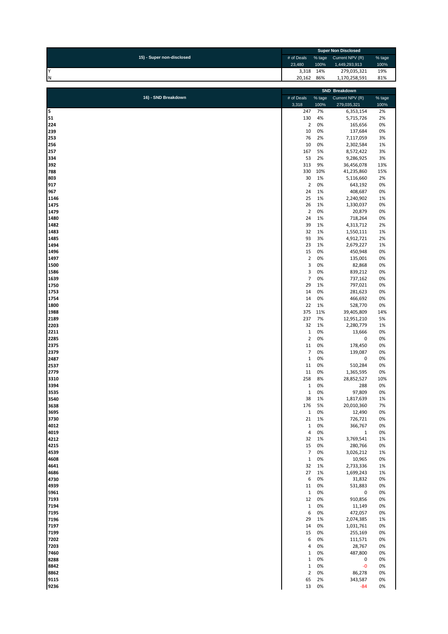| 15) - Super non-disclosed<br># of Deals<br>Current NPV (R)<br>% tage<br>23,480<br>100%<br>1,449,293,913<br>Y<br>3,318<br>14%<br>279,035,321<br>19%<br>20,162<br>86%<br>IN.<br>1,170,258,591<br>81%<br>SND Breakdown<br>16) - SND Breakdown<br>% tage<br>Current NPV (R)<br># of Deals<br>3,318<br>100%<br>279,035,321<br>5<br>247<br>7%<br>2%<br>6,353,154<br>51<br>130<br>4%<br>2%<br>5,715,726<br>224<br>$\overline{2}$<br>0%<br>0%<br>165,656<br>239<br>10<br>0%<br>137,684<br>0%<br>253<br>76<br>2%<br>7,117,059<br>3%<br>256<br>10<br>0%<br>2,302,584<br>1%<br>5%<br>257<br>167<br>8,572,422<br>3%<br>334<br>53<br>2%<br>9,286,925<br>3%<br>392<br>313<br>9%<br>36,456,078<br>13%<br>330<br>10%<br>788<br>41,235,860<br>15%<br>803<br>30<br>1%<br>2%<br>5,116,660<br>917<br>$\mathbf 2$<br>0%<br>643,192<br>0%<br>24<br>1%<br>967<br>408,687<br>0%<br>1146<br>25<br>1%<br>2,240,902<br>1%<br>1475<br>26<br>1%<br>0%<br>1,330,037<br>1479<br>$\overline{2}$<br>0%<br>20,879<br>0%<br>24<br>1480<br>1%<br>718,264<br>0%<br>39<br>1%<br>1482<br>4,313,712<br>2%<br>32<br>1%<br>1483<br>1,550,111<br>1%<br>93<br>1485<br>3%<br>4,912,721<br>2%<br>1494<br>23<br>1%<br>2,679,227<br>1%<br>1496<br>15<br>0%<br>450,948<br>0%<br>$\overline{2}$<br>0%<br>1497<br>135,001<br>0%<br>3<br>0%<br>1500<br>82,868<br>0%<br>3<br>1586<br>0%<br>839,212<br>0%<br>$\overline{7}$<br>0%<br>737,162<br>0%<br>1639<br>1750<br>29<br>1%<br>0%<br>797,021<br>1753<br>14<br>0%<br>281,623<br>0%<br>14<br>0%<br>1754<br>466,692<br>0%<br>22<br>1%<br>1800<br>528,770<br>0%<br>1988<br>375<br>11%<br>39,405,809<br>14%<br>237<br>7%<br>2189<br>12,951,210<br>5%<br>1%<br>2203<br>32<br>2,280,779<br>1%<br>$\mathbf 1$<br>0%<br>2211<br>13,666<br>0%<br>$\mathbf 2$<br>$\pmb{0}$<br>2285<br>0%<br>0%<br>0%<br>11<br>178,450<br>0%<br>2375<br>$\overline{7}$<br>0%<br>2379<br>139,087<br>0%<br>$\mathbf 1$<br>0%<br>2487<br>0<br>0%<br>11<br>0%<br>2537<br>510,284<br>0%<br>2779<br>0%<br>11<br>1,365,595<br>0%<br>3310<br>258<br>8%<br>28,852,527<br>3394<br>1<br>U%<br>288<br>U%<br>3535<br>0%<br>97,809<br>0%<br>$\mathbf{1}$<br>3540<br>38<br>1%<br>1,817,639<br>1%<br>3638<br>176<br>5%<br>20,010,360<br>7%<br>$\,1\,$<br>0%<br>0%<br>3695<br>12,490<br>3730<br>21<br>1%<br>726,721<br>0%<br>$\mathbf 1$<br>4012<br>0%<br>366,767<br>0%<br>$\overline{4}$<br>0%<br>$\,1\,$<br>0%<br>4019<br>4212<br>32<br>1%<br>3,769,541<br>1%<br>4215<br>15<br>0%<br>280,766<br>0%<br>$\overline{7}$<br>0%<br>1%<br>4539<br>3,026,212<br>$\mathbf 1$<br>4608<br>0%<br>10,965<br>0%<br>4641<br>32<br>1%<br>2,733,336<br>1%<br>27<br>1%<br>4686<br>1%<br>1,699,243<br>4730<br>6<br>0%<br>0%<br>31,832<br>4939<br>11<br>0%<br>531,883<br>0%<br>$\,1\,$<br>0%<br>5961<br>0<br>0%<br>12<br>0%<br>0%<br>7193<br>910,856<br>$\mathbf 1$<br>7194<br>0%<br>11,149<br>0%<br>6<br>7195<br>0%<br>472,057<br>0%<br>29<br>1%<br>7196<br>2,074,385<br>1%<br>7197<br>14<br>0%<br>0%<br>1,031,761<br>7199<br>15<br>0%<br>0%<br>255,169<br>6<br>0%<br>0%<br>7202<br>111,571<br>7203<br>4<br>0%<br>28,767<br>0%<br>7460<br>$\mathbf 1$<br>0%<br>487,800<br>0%<br>$\mathbf 1$<br>0%<br>$\pmb{0}$<br>8288<br>0%<br>8842<br>$\,1\,$<br>0%<br>$-0$<br>0%<br>$\mathbf 2$<br>8862<br>0%<br>86,278<br>0%<br>65<br>2%<br>9115<br>343,587<br>0% | <b>Super Non Disclosed</b> |  |  |        |
|---------------------------------------------------------------------------------------------------------------------------------------------------------------------------------------------------------------------------------------------------------------------------------------------------------------------------------------------------------------------------------------------------------------------------------------------------------------------------------------------------------------------------------------------------------------------------------------------------------------------------------------------------------------------------------------------------------------------------------------------------------------------------------------------------------------------------------------------------------------------------------------------------------------------------------------------------------------------------------------------------------------------------------------------------------------------------------------------------------------------------------------------------------------------------------------------------------------------------------------------------------------------------------------------------------------------------------------------------------------------------------------------------------------------------------------------------------------------------------------------------------------------------------------------------------------------------------------------------------------------------------------------------------------------------------------------------------------------------------------------------------------------------------------------------------------------------------------------------------------------------------------------------------------------------------------------------------------------------------------------------------------------------------------------------------------------------------------------------------------------------------------------------------------------------------------------------------------------------------------------------------------------------------------------------------------------------------------------------------------------------------------------------------------------------------------------------------------------------------------------------------------------------------------------------------------------------------------------------------------------------------------------------------------------------------------------------------------------------------------------------------------------------------------------------------------------------------------------------------------------------------------------------------------------------------------------------------------------------------------------------------------------------------------------------------------------------------------------------------------------------------------------------------------------------------------------------------------------------------------------------------------------------------------|----------------------------|--|--|--------|
|                                                                                                                                                                                                                                                                                                                                                                                                                                                                                                                                                                                                                                                                                                                                                                                                                                                                                                                                                                                                                                                                                                                                                                                                                                                                                                                                                                                                                                                                                                                                                                                                                                                                                                                                                                                                                                                                                                                                                                                                                                                                                                                                                                                                                                                                                                                                                                                                                                                                                                                                                                                                                                                                                                                                                                                                                                                                                                                                                                                                                                                                                                                                                                                                                                                                                       |                            |  |  | % tage |
|                                                                                                                                                                                                                                                                                                                                                                                                                                                                                                                                                                                                                                                                                                                                                                                                                                                                                                                                                                                                                                                                                                                                                                                                                                                                                                                                                                                                                                                                                                                                                                                                                                                                                                                                                                                                                                                                                                                                                                                                                                                                                                                                                                                                                                                                                                                                                                                                                                                                                                                                                                                                                                                                                                                                                                                                                                                                                                                                                                                                                                                                                                                                                                                                                                                                                       |                            |  |  | 100%   |
|                                                                                                                                                                                                                                                                                                                                                                                                                                                                                                                                                                                                                                                                                                                                                                                                                                                                                                                                                                                                                                                                                                                                                                                                                                                                                                                                                                                                                                                                                                                                                                                                                                                                                                                                                                                                                                                                                                                                                                                                                                                                                                                                                                                                                                                                                                                                                                                                                                                                                                                                                                                                                                                                                                                                                                                                                                                                                                                                                                                                                                                                                                                                                                                                                                                                                       |                            |  |  |        |
|                                                                                                                                                                                                                                                                                                                                                                                                                                                                                                                                                                                                                                                                                                                                                                                                                                                                                                                                                                                                                                                                                                                                                                                                                                                                                                                                                                                                                                                                                                                                                                                                                                                                                                                                                                                                                                                                                                                                                                                                                                                                                                                                                                                                                                                                                                                                                                                                                                                                                                                                                                                                                                                                                                                                                                                                                                                                                                                                                                                                                                                                                                                                                                                                                                                                                       |                            |  |  |        |
|                                                                                                                                                                                                                                                                                                                                                                                                                                                                                                                                                                                                                                                                                                                                                                                                                                                                                                                                                                                                                                                                                                                                                                                                                                                                                                                                                                                                                                                                                                                                                                                                                                                                                                                                                                                                                                                                                                                                                                                                                                                                                                                                                                                                                                                                                                                                                                                                                                                                                                                                                                                                                                                                                                                                                                                                                                                                                                                                                                                                                                                                                                                                                                                                                                                                                       |                            |  |  |        |
|                                                                                                                                                                                                                                                                                                                                                                                                                                                                                                                                                                                                                                                                                                                                                                                                                                                                                                                                                                                                                                                                                                                                                                                                                                                                                                                                                                                                                                                                                                                                                                                                                                                                                                                                                                                                                                                                                                                                                                                                                                                                                                                                                                                                                                                                                                                                                                                                                                                                                                                                                                                                                                                                                                                                                                                                                                                                                                                                                                                                                                                                                                                                                                                                                                                                                       |                            |  |  | % tage |
|                                                                                                                                                                                                                                                                                                                                                                                                                                                                                                                                                                                                                                                                                                                                                                                                                                                                                                                                                                                                                                                                                                                                                                                                                                                                                                                                                                                                                                                                                                                                                                                                                                                                                                                                                                                                                                                                                                                                                                                                                                                                                                                                                                                                                                                                                                                                                                                                                                                                                                                                                                                                                                                                                                                                                                                                                                                                                                                                                                                                                                                                                                                                                                                                                                                                                       |                            |  |  | 100%   |
|                                                                                                                                                                                                                                                                                                                                                                                                                                                                                                                                                                                                                                                                                                                                                                                                                                                                                                                                                                                                                                                                                                                                                                                                                                                                                                                                                                                                                                                                                                                                                                                                                                                                                                                                                                                                                                                                                                                                                                                                                                                                                                                                                                                                                                                                                                                                                                                                                                                                                                                                                                                                                                                                                                                                                                                                                                                                                                                                                                                                                                                                                                                                                                                                                                                                                       |                            |  |  |        |
|                                                                                                                                                                                                                                                                                                                                                                                                                                                                                                                                                                                                                                                                                                                                                                                                                                                                                                                                                                                                                                                                                                                                                                                                                                                                                                                                                                                                                                                                                                                                                                                                                                                                                                                                                                                                                                                                                                                                                                                                                                                                                                                                                                                                                                                                                                                                                                                                                                                                                                                                                                                                                                                                                                                                                                                                                                                                                                                                                                                                                                                                                                                                                                                                                                                                                       |                            |  |  |        |
|                                                                                                                                                                                                                                                                                                                                                                                                                                                                                                                                                                                                                                                                                                                                                                                                                                                                                                                                                                                                                                                                                                                                                                                                                                                                                                                                                                                                                                                                                                                                                                                                                                                                                                                                                                                                                                                                                                                                                                                                                                                                                                                                                                                                                                                                                                                                                                                                                                                                                                                                                                                                                                                                                                                                                                                                                                                                                                                                                                                                                                                                                                                                                                                                                                                                                       |                            |  |  |        |
|                                                                                                                                                                                                                                                                                                                                                                                                                                                                                                                                                                                                                                                                                                                                                                                                                                                                                                                                                                                                                                                                                                                                                                                                                                                                                                                                                                                                                                                                                                                                                                                                                                                                                                                                                                                                                                                                                                                                                                                                                                                                                                                                                                                                                                                                                                                                                                                                                                                                                                                                                                                                                                                                                                                                                                                                                                                                                                                                                                                                                                                                                                                                                                                                                                                                                       |                            |  |  |        |
|                                                                                                                                                                                                                                                                                                                                                                                                                                                                                                                                                                                                                                                                                                                                                                                                                                                                                                                                                                                                                                                                                                                                                                                                                                                                                                                                                                                                                                                                                                                                                                                                                                                                                                                                                                                                                                                                                                                                                                                                                                                                                                                                                                                                                                                                                                                                                                                                                                                                                                                                                                                                                                                                                                                                                                                                                                                                                                                                                                                                                                                                                                                                                                                                                                                                                       |                            |  |  |        |
|                                                                                                                                                                                                                                                                                                                                                                                                                                                                                                                                                                                                                                                                                                                                                                                                                                                                                                                                                                                                                                                                                                                                                                                                                                                                                                                                                                                                                                                                                                                                                                                                                                                                                                                                                                                                                                                                                                                                                                                                                                                                                                                                                                                                                                                                                                                                                                                                                                                                                                                                                                                                                                                                                                                                                                                                                                                                                                                                                                                                                                                                                                                                                                                                                                                                                       |                            |  |  |        |
|                                                                                                                                                                                                                                                                                                                                                                                                                                                                                                                                                                                                                                                                                                                                                                                                                                                                                                                                                                                                                                                                                                                                                                                                                                                                                                                                                                                                                                                                                                                                                                                                                                                                                                                                                                                                                                                                                                                                                                                                                                                                                                                                                                                                                                                                                                                                                                                                                                                                                                                                                                                                                                                                                                                                                                                                                                                                                                                                                                                                                                                                                                                                                                                                                                                                                       |                            |  |  |        |
|                                                                                                                                                                                                                                                                                                                                                                                                                                                                                                                                                                                                                                                                                                                                                                                                                                                                                                                                                                                                                                                                                                                                                                                                                                                                                                                                                                                                                                                                                                                                                                                                                                                                                                                                                                                                                                                                                                                                                                                                                                                                                                                                                                                                                                                                                                                                                                                                                                                                                                                                                                                                                                                                                                                                                                                                                                                                                                                                                                                                                                                                                                                                                                                                                                                                                       |                            |  |  |        |
|                                                                                                                                                                                                                                                                                                                                                                                                                                                                                                                                                                                                                                                                                                                                                                                                                                                                                                                                                                                                                                                                                                                                                                                                                                                                                                                                                                                                                                                                                                                                                                                                                                                                                                                                                                                                                                                                                                                                                                                                                                                                                                                                                                                                                                                                                                                                                                                                                                                                                                                                                                                                                                                                                                                                                                                                                                                                                                                                                                                                                                                                                                                                                                                                                                                                                       |                            |  |  |        |
|                                                                                                                                                                                                                                                                                                                                                                                                                                                                                                                                                                                                                                                                                                                                                                                                                                                                                                                                                                                                                                                                                                                                                                                                                                                                                                                                                                                                                                                                                                                                                                                                                                                                                                                                                                                                                                                                                                                                                                                                                                                                                                                                                                                                                                                                                                                                                                                                                                                                                                                                                                                                                                                                                                                                                                                                                                                                                                                                                                                                                                                                                                                                                                                                                                                                                       |                            |  |  |        |
|                                                                                                                                                                                                                                                                                                                                                                                                                                                                                                                                                                                                                                                                                                                                                                                                                                                                                                                                                                                                                                                                                                                                                                                                                                                                                                                                                                                                                                                                                                                                                                                                                                                                                                                                                                                                                                                                                                                                                                                                                                                                                                                                                                                                                                                                                                                                                                                                                                                                                                                                                                                                                                                                                                                                                                                                                                                                                                                                                                                                                                                                                                                                                                                                                                                                                       |                            |  |  |        |
|                                                                                                                                                                                                                                                                                                                                                                                                                                                                                                                                                                                                                                                                                                                                                                                                                                                                                                                                                                                                                                                                                                                                                                                                                                                                                                                                                                                                                                                                                                                                                                                                                                                                                                                                                                                                                                                                                                                                                                                                                                                                                                                                                                                                                                                                                                                                                                                                                                                                                                                                                                                                                                                                                                                                                                                                                                                                                                                                                                                                                                                                                                                                                                                                                                                                                       |                            |  |  |        |
|                                                                                                                                                                                                                                                                                                                                                                                                                                                                                                                                                                                                                                                                                                                                                                                                                                                                                                                                                                                                                                                                                                                                                                                                                                                                                                                                                                                                                                                                                                                                                                                                                                                                                                                                                                                                                                                                                                                                                                                                                                                                                                                                                                                                                                                                                                                                                                                                                                                                                                                                                                                                                                                                                                                                                                                                                                                                                                                                                                                                                                                                                                                                                                                                                                                                                       |                            |  |  |        |
|                                                                                                                                                                                                                                                                                                                                                                                                                                                                                                                                                                                                                                                                                                                                                                                                                                                                                                                                                                                                                                                                                                                                                                                                                                                                                                                                                                                                                                                                                                                                                                                                                                                                                                                                                                                                                                                                                                                                                                                                                                                                                                                                                                                                                                                                                                                                                                                                                                                                                                                                                                                                                                                                                                                                                                                                                                                                                                                                                                                                                                                                                                                                                                                                                                                                                       |                            |  |  |        |
|                                                                                                                                                                                                                                                                                                                                                                                                                                                                                                                                                                                                                                                                                                                                                                                                                                                                                                                                                                                                                                                                                                                                                                                                                                                                                                                                                                                                                                                                                                                                                                                                                                                                                                                                                                                                                                                                                                                                                                                                                                                                                                                                                                                                                                                                                                                                                                                                                                                                                                                                                                                                                                                                                                                                                                                                                                                                                                                                                                                                                                                                                                                                                                                                                                                                                       |                            |  |  |        |
|                                                                                                                                                                                                                                                                                                                                                                                                                                                                                                                                                                                                                                                                                                                                                                                                                                                                                                                                                                                                                                                                                                                                                                                                                                                                                                                                                                                                                                                                                                                                                                                                                                                                                                                                                                                                                                                                                                                                                                                                                                                                                                                                                                                                                                                                                                                                                                                                                                                                                                                                                                                                                                                                                                                                                                                                                                                                                                                                                                                                                                                                                                                                                                                                                                                                                       |                            |  |  |        |
|                                                                                                                                                                                                                                                                                                                                                                                                                                                                                                                                                                                                                                                                                                                                                                                                                                                                                                                                                                                                                                                                                                                                                                                                                                                                                                                                                                                                                                                                                                                                                                                                                                                                                                                                                                                                                                                                                                                                                                                                                                                                                                                                                                                                                                                                                                                                                                                                                                                                                                                                                                                                                                                                                                                                                                                                                                                                                                                                                                                                                                                                                                                                                                                                                                                                                       |                            |  |  |        |
|                                                                                                                                                                                                                                                                                                                                                                                                                                                                                                                                                                                                                                                                                                                                                                                                                                                                                                                                                                                                                                                                                                                                                                                                                                                                                                                                                                                                                                                                                                                                                                                                                                                                                                                                                                                                                                                                                                                                                                                                                                                                                                                                                                                                                                                                                                                                                                                                                                                                                                                                                                                                                                                                                                                                                                                                                                                                                                                                                                                                                                                                                                                                                                                                                                                                                       |                            |  |  |        |
|                                                                                                                                                                                                                                                                                                                                                                                                                                                                                                                                                                                                                                                                                                                                                                                                                                                                                                                                                                                                                                                                                                                                                                                                                                                                                                                                                                                                                                                                                                                                                                                                                                                                                                                                                                                                                                                                                                                                                                                                                                                                                                                                                                                                                                                                                                                                                                                                                                                                                                                                                                                                                                                                                                                                                                                                                                                                                                                                                                                                                                                                                                                                                                                                                                                                                       |                            |  |  |        |
|                                                                                                                                                                                                                                                                                                                                                                                                                                                                                                                                                                                                                                                                                                                                                                                                                                                                                                                                                                                                                                                                                                                                                                                                                                                                                                                                                                                                                                                                                                                                                                                                                                                                                                                                                                                                                                                                                                                                                                                                                                                                                                                                                                                                                                                                                                                                                                                                                                                                                                                                                                                                                                                                                                                                                                                                                                                                                                                                                                                                                                                                                                                                                                                                                                                                                       |                            |  |  |        |
|                                                                                                                                                                                                                                                                                                                                                                                                                                                                                                                                                                                                                                                                                                                                                                                                                                                                                                                                                                                                                                                                                                                                                                                                                                                                                                                                                                                                                                                                                                                                                                                                                                                                                                                                                                                                                                                                                                                                                                                                                                                                                                                                                                                                                                                                                                                                                                                                                                                                                                                                                                                                                                                                                                                                                                                                                                                                                                                                                                                                                                                                                                                                                                                                                                                                                       |                            |  |  |        |
|                                                                                                                                                                                                                                                                                                                                                                                                                                                                                                                                                                                                                                                                                                                                                                                                                                                                                                                                                                                                                                                                                                                                                                                                                                                                                                                                                                                                                                                                                                                                                                                                                                                                                                                                                                                                                                                                                                                                                                                                                                                                                                                                                                                                                                                                                                                                                                                                                                                                                                                                                                                                                                                                                                                                                                                                                                                                                                                                                                                                                                                                                                                                                                                                                                                                                       |                            |  |  |        |
|                                                                                                                                                                                                                                                                                                                                                                                                                                                                                                                                                                                                                                                                                                                                                                                                                                                                                                                                                                                                                                                                                                                                                                                                                                                                                                                                                                                                                                                                                                                                                                                                                                                                                                                                                                                                                                                                                                                                                                                                                                                                                                                                                                                                                                                                                                                                                                                                                                                                                                                                                                                                                                                                                                                                                                                                                                                                                                                                                                                                                                                                                                                                                                                                                                                                                       |                            |  |  |        |
|                                                                                                                                                                                                                                                                                                                                                                                                                                                                                                                                                                                                                                                                                                                                                                                                                                                                                                                                                                                                                                                                                                                                                                                                                                                                                                                                                                                                                                                                                                                                                                                                                                                                                                                                                                                                                                                                                                                                                                                                                                                                                                                                                                                                                                                                                                                                                                                                                                                                                                                                                                                                                                                                                                                                                                                                                                                                                                                                                                                                                                                                                                                                                                                                                                                                                       |                            |  |  |        |
|                                                                                                                                                                                                                                                                                                                                                                                                                                                                                                                                                                                                                                                                                                                                                                                                                                                                                                                                                                                                                                                                                                                                                                                                                                                                                                                                                                                                                                                                                                                                                                                                                                                                                                                                                                                                                                                                                                                                                                                                                                                                                                                                                                                                                                                                                                                                                                                                                                                                                                                                                                                                                                                                                                                                                                                                                                                                                                                                                                                                                                                                                                                                                                                                                                                                                       |                            |  |  |        |
|                                                                                                                                                                                                                                                                                                                                                                                                                                                                                                                                                                                                                                                                                                                                                                                                                                                                                                                                                                                                                                                                                                                                                                                                                                                                                                                                                                                                                                                                                                                                                                                                                                                                                                                                                                                                                                                                                                                                                                                                                                                                                                                                                                                                                                                                                                                                                                                                                                                                                                                                                                                                                                                                                                                                                                                                                                                                                                                                                                                                                                                                                                                                                                                                                                                                                       |                            |  |  |        |
|                                                                                                                                                                                                                                                                                                                                                                                                                                                                                                                                                                                                                                                                                                                                                                                                                                                                                                                                                                                                                                                                                                                                                                                                                                                                                                                                                                                                                                                                                                                                                                                                                                                                                                                                                                                                                                                                                                                                                                                                                                                                                                                                                                                                                                                                                                                                                                                                                                                                                                                                                                                                                                                                                                                                                                                                                                                                                                                                                                                                                                                                                                                                                                                                                                                                                       |                            |  |  |        |
|                                                                                                                                                                                                                                                                                                                                                                                                                                                                                                                                                                                                                                                                                                                                                                                                                                                                                                                                                                                                                                                                                                                                                                                                                                                                                                                                                                                                                                                                                                                                                                                                                                                                                                                                                                                                                                                                                                                                                                                                                                                                                                                                                                                                                                                                                                                                                                                                                                                                                                                                                                                                                                                                                                                                                                                                                                                                                                                                                                                                                                                                                                                                                                                                                                                                                       |                            |  |  |        |
|                                                                                                                                                                                                                                                                                                                                                                                                                                                                                                                                                                                                                                                                                                                                                                                                                                                                                                                                                                                                                                                                                                                                                                                                                                                                                                                                                                                                                                                                                                                                                                                                                                                                                                                                                                                                                                                                                                                                                                                                                                                                                                                                                                                                                                                                                                                                                                                                                                                                                                                                                                                                                                                                                                                                                                                                                                                                                                                                                                                                                                                                                                                                                                                                                                                                                       |                            |  |  |        |
|                                                                                                                                                                                                                                                                                                                                                                                                                                                                                                                                                                                                                                                                                                                                                                                                                                                                                                                                                                                                                                                                                                                                                                                                                                                                                                                                                                                                                                                                                                                                                                                                                                                                                                                                                                                                                                                                                                                                                                                                                                                                                                                                                                                                                                                                                                                                                                                                                                                                                                                                                                                                                                                                                                                                                                                                                                                                                                                                                                                                                                                                                                                                                                                                                                                                                       |                            |  |  |        |
|                                                                                                                                                                                                                                                                                                                                                                                                                                                                                                                                                                                                                                                                                                                                                                                                                                                                                                                                                                                                                                                                                                                                                                                                                                                                                                                                                                                                                                                                                                                                                                                                                                                                                                                                                                                                                                                                                                                                                                                                                                                                                                                                                                                                                                                                                                                                                                                                                                                                                                                                                                                                                                                                                                                                                                                                                                                                                                                                                                                                                                                                                                                                                                                                                                                                                       |                            |  |  |        |
|                                                                                                                                                                                                                                                                                                                                                                                                                                                                                                                                                                                                                                                                                                                                                                                                                                                                                                                                                                                                                                                                                                                                                                                                                                                                                                                                                                                                                                                                                                                                                                                                                                                                                                                                                                                                                                                                                                                                                                                                                                                                                                                                                                                                                                                                                                                                                                                                                                                                                                                                                                                                                                                                                                                                                                                                                                                                                                                                                                                                                                                                                                                                                                                                                                                                                       |                            |  |  |        |
|                                                                                                                                                                                                                                                                                                                                                                                                                                                                                                                                                                                                                                                                                                                                                                                                                                                                                                                                                                                                                                                                                                                                                                                                                                                                                                                                                                                                                                                                                                                                                                                                                                                                                                                                                                                                                                                                                                                                                                                                                                                                                                                                                                                                                                                                                                                                                                                                                                                                                                                                                                                                                                                                                                                                                                                                                                                                                                                                                                                                                                                                                                                                                                                                                                                                                       |                            |  |  |        |
|                                                                                                                                                                                                                                                                                                                                                                                                                                                                                                                                                                                                                                                                                                                                                                                                                                                                                                                                                                                                                                                                                                                                                                                                                                                                                                                                                                                                                                                                                                                                                                                                                                                                                                                                                                                                                                                                                                                                                                                                                                                                                                                                                                                                                                                                                                                                                                                                                                                                                                                                                                                                                                                                                                                                                                                                                                                                                                                                                                                                                                                                                                                                                                                                                                                                                       |                            |  |  |        |
|                                                                                                                                                                                                                                                                                                                                                                                                                                                                                                                                                                                                                                                                                                                                                                                                                                                                                                                                                                                                                                                                                                                                                                                                                                                                                                                                                                                                                                                                                                                                                                                                                                                                                                                                                                                                                                                                                                                                                                                                                                                                                                                                                                                                                                                                                                                                                                                                                                                                                                                                                                                                                                                                                                                                                                                                                                                                                                                                                                                                                                                                                                                                                                                                                                                                                       |                            |  |  | 10%    |
|                                                                                                                                                                                                                                                                                                                                                                                                                                                                                                                                                                                                                                                                                                                                                                                                                                                                                                                                                                                                                                                                                                                                                                                                                                                                                                                                                                                                                                                                                                                                                                                                                                                                                                                                                                                                                                                                                                                                                                                                                                                                                                                                                                                                                                                                                                                                                                                                                                                                                                                                                                                                                                                                                                                                                                                                                                                                                                                                                                                                                                                                                                                                                                                                                                                                                       |                            |  |  |        |
|                                                                                                                                                                                                                                                                                                                                                                                                                                                                                                                                                                                                                                                                                                                                                                                                                                                                                                                                                                                                                                                                                                                                                                                                                                                                                                                                                                                                                                                                                                                                                                                                                                                                                                                                                                                                                                                                                                                                                                                                                                                                                                                                                                                                                                                                                                                                                                                                                                                                                                                                                                                                                                                                                                                                                                                                                                                                                                                                                                                                                                                                                                                                                                                                                                                                                       |                            |  |  |        |
|                                                                                                                                                                                                                                                                                                                                                                                                                                                                                                                                                                                                                                                                                                                                                                                                                                                                                                                                                                                                                                                                                                                                                                                                                                                                                                                                                                                                                                                                                                                                                                                                                                                                                                                                                                                                                                                                                                                                                                                                                                                                                                                                                                                                                                                                                                                                                                                                                                                                                                                                                                                                                                                                                                                                                                                                                                                                                                                                                                                                                                                                                                                                                                                                                                                                                       |                            |  |  |        |
|                                                                                                                                                                                                                                                                                                                                                                                                                                                                                                                                                                                                                                                                                                                                                                                                                                                                                                                                                                                                                                                                                                                                                                                                                                                                                                                                                                                                                                                                                                                                                                                                                                                                                                                                                                                                                                                                                                                                                                                                                                                                                                                                                                                                                                                                                                                                                                                                                                                                                                                                                                                                                                                                                                                                                                                                                                                                                                                                                                                                                                                                                                                                                                                                                                                                                       |                            |  |  |        |
|                                                                                                                                                                                                                                                                                                                                                                                                                                                                                                                                                                                                                                                                                                                                                                                                                                                                                                                                                                                                                                                                                                                                                                                                                                                                                                                                                                                                                                                                                                                                                                                                                                                                                                                                                                                                                                                                                                                                                                                                                                                                                                                                                                                                                                                                                                                                                                                                                                                                                                                                                                                                                                                                                                                                                                                                                                                                                                                                                                                                                                                                                                                                                                                                                                                                                       |                            |  |  |        |
|                                                                                                                                                                                                                                                                                                                                                                                                                                                                                                                                                                                                                                                                                                                                                                                                                                                                                                                                                                                                                                                                                                                                                                                                                                                                                                                                                                                                                                                                                                                                                                                                                                                                                                                                                                                                                                                                                                                                                                                                                                                                                                                                                                                                                                                                                                                                                                                                                                                                                                                                                                                                                                                                                                                                                                                                                                                                                                                                                                                                                                                                                                                                                                                                                                                                                       |                            |  |  |        |
|                                                                                                                                                                                                                                                                                                                                                                                                                                                                                                                                                                                                                                                                                                                                                                                                                                                                                                                                                                                                                                                                                                                                                                                                                                                                                                                                                                                                                                                                                                                                                                                                                                                                                                                                                                                                                                                                                                                                                                                                                                                                                                                                                                                                                                                                                                                                                                                                                                                                                                                                                                                                                                                                                                                                                                                                                                                                                                                                                                                                                                                                                                                                                                                                                                                                                       |                            |  |  |        |
|                                                                                                                                                                                                                                                                                                                                                                                                                                                                                                                                                                                                                                                                                                                                                                                                                                                                                                                                                                                                                                                                                                                                                                                                                                                                                                                                                                                                                                                                                                                                                                                                                                                                                                                                                                                                                                                                                                                                                                                                                                                                                                                                                                                                                                                                                                                                                                                                                                                                                                                                                                                                                                                                                                                                                                                                                                                                                                                                                                                                                                                                                                                                                                                                                                                                                       |                            |  |  |        |
|                                                                                                                                                                                                                                                                                                                                                                                                                                                                                                                                                                                                                                                                                                                                                                                                                                                                                                                                                                                                                                                                                                                                                                                                                                                                                                                                                                                                                                                                                                                                                                                                                                                                                                                                                                                                                                                                                                                                                                                                                                                                                                                                                                                                                                                                                                                                                                                                                                                                                                                                                                                                                                                                                                                                                                                                                                                                                                                                                                                                                                                                                                                                                                                                                                                                                       |                            |  |  |        |
|                                                                                                                                                                                                                                                                                                                                                                                                                                                                                                                                                                                                                                                                                                                                                                                                                                                                                                                                                                                                                                                                                                                                                                                                                                                                                                                                                                                                                                                                                                                                                                                                                                                                                                                                                                                                                                                                                                                                                                                                                                                                                                                                                                                                                                                                                                                                                                                                                                                                                                                                                                                                                                                                                                                                                                                                                                                                                                                                                                                                                                                                                                                                                                                                                                                                                       |                            |  |  |        |
|                                                                                                                                                                                                                                                                                                                                                                                                                                                                                                                                                                                                                                                                                                                                                                                                                                                                                                                                                                                                                                                                                                                                                                                                                                                                                                                                                                                                                                                                                                                                                                                                                                                                                                                                                                                                                                                                                                                                                                                                                                                                                                                                                                                                                                                                                                                                                                                                                                                                                                                                                                                                                                                                                                                                                                                                                                                                                                                                                                                                                                                                                                                                                                                                                                                                                       |                            |  |  |        |
|                                                                                                                                                                                                                                                                                                                                                                                                                                                                                                                                                                                                                                                                                                                                                                                                                                                                                                                                                                                                                                                                                                                                                                                                                                                                                                                                                                                                                                                                                                                                                                                                                                                                                                                                                                                                                                                                                                                                                                                                                                                                                                                                                                                                                                                                                                                                                                                                                                                                                                                                                                                                                                                                                                                                                                                                                                                                                                                                                                                                                                                                                                                                                                                                                                                                                       |                            |  |  |        |
|                                                                                                                                                                                                                                                                                                                                                                                                                                                                                                                                                                                                                                                                                                                                                                                                                                                                                                                                                                                                                                                                                                                                                                                                                                                                                                                                                                                                                                                                                                                                                                                                                                                                                                                                                                                                                                                                                                                                                                                                                                                                                                                                                                                                                                                                                                                                                                                                                                                                                                                                                                                                                                                                                                                                                                                                                                                                                                                                                                                                                                                                                                                                                                                                                                                                                       |                            |  |  |        |
|                                                                                                                                                                                                                                                                                                                                                                                                                                                                                                                                                                                                                                                                                                                                                                                                                                                                                                                                                                                                                                                                                                                                                                                                                                                                                                                                                                                                                                                                                                                                                                                                                                                                                                                                                                                                                                                                                                                                                                                                                                                                                                                                                                                                                                                                                                                                                                                                                                                                                                                                                                                                                                                                                                                                                                                                                                                                                                                                                                                                                                                                                                                                                                                                                                                                                       |                            |  |  |        |
|                                                                                                                                                                                                                                                                                                                                                                                                                                                                                                                                                                                                                                                                                                                                                                                                                                                                                                                                                                                                                                                                                                                                                                                                                                                                                                                                                                                                                                                                                                                                                                                                                                                                                                                                                                                                                                                                                                                                                                                                                                                                                                                                                                                                                                                                                                                                                                                                                                                                                                                                                                                                                                                                                                                                                                                                                                                                                                                                                                                                                                                                                                                                                                                                                                                                                       |                            |  |  |        |
|                                                                                                                                                                                                                                                                                                                                                                                                                                                                                                                                                                                                                                                                                                                                                                                                                                                                                                                                                                                                                                                                                                                                                                                                                                                                                                                                                                                                                                                                                                                                                                                                                                                                                                                                                                                                                                                                                                                                                                                                                                                                                                                                                                                                                                                                                                                                                                                                                                                                                                                                                                                                                                                                                                                                                                                                                                                                                                                                                                                                                                                                                                                                                                                                                                                                                       |                            |  |  |        |
|                                                                                                                                                                                                                                                                                                                                                                                                                                                                                                                                                                                                                                                                                                                                                                                                                                                                                                                                                                                                                                                                                                                                                                                                                                                                                                                                                                                                                                                                                                                                                                                                                                                                                                                                                                                                                                                                                                                                                                                                                                                                                                                                                                                                                                                                                                                                                                                                                                                                                                                                                                                                                                                                                                                                                                                                                                                                                                                                                                                                                                                                                                                                                                                                                                                                                       |                            |  |  |        |
|                                                                                                                                                                                                                                                                                                                                                                                                                                                                                                                                                                                                                                                                                                                                                                                                                                                                                                                                                                                                                                                                                                                                                                                                                                                                                                                                                                                                                                                                                                                                                                                                                                                                                                                                                                                                                                                                                                                                                                                                                                                                                                                                                                                                                                                                                                                                                                                                                                                                                                                                                                                                                                                                                                                                                                                                                                                                                                                                                                                                                                                                                                                                                                                                                                                                                       |                            |  |  |        |
|                                                                                                                                                                                                                                                                                                                                                                                                                                                                                                                                                                                                                                                                                                                                                                                                                                                                                                                                                                                                                                                                                                                                                                                                                                                                                                                                                                                                                                                                                                                                                                                                                                                                                                                                                                                                                                                                                                                                                                                                                                                                                                                                                                                                                                                                                                                                                                                                                                                                                                                                                                                                                                                                                                                                                                                                                                                                                                                                                                                                                                                                                                                                                                                                                                                                                       |                            |  |  |        |
|                                                                                                                                                                                                                                                                                                                                                                                                                                                                                                                                                                                                                                                                                                                                                                                                                                                                                                                                                                                                                                                                                                                                                                                                                                                                                                                                                                                                                                                                                                                                                                                                                                                                                                                                                                                                                                                                                                                                                                                                                                                                                                                                                                                                                                                                                                                                                                                                                                                                                                                                                                                                                                                                                                                                                                                                                                                                                                                                                                                                                                                                                                                                                                                                                                                                                       |                            |  |  |        |
|                                                                                                                                                                                                                                                                                                                                                                                                                                                                                                                                                                                                                                                                                                                                                                                                                                                                                                                                                                                                                                                                                                                                                                                                                                                                                                                                                                                                                                                                                                                                                                                                                                                                                                                                                                                                                                                                                                                                                                                                                                                                                                                                                                                                                                                                                                                                                                                                                                                                                                                                                                                                                                                                                                                                                                                                                                                                                                                                                                                                                                                                                                                                                                                                                                                                                       |                            |  |  |        |
|                                                                                                                                                                                                                                                                                                                                                                                                                                                                                                                                                                                                                                                                                                                                                                                                                                                                                                                                                                                                                                                                                                                                                                                                                                                                                                                                                                                                                                                                                                                                                                                                                                                                                                                                                                                                                                                                                                                                                                                                                                                                                                                                                                                                                                                                                                                                                                                                                                                                                                                                                                                                                                                                                                                                                                                                                                                                                                                                                                                                                                                                                                                                                                                                                                                                                       |                            |  |  |        |
|                                                                                                                                                                                                                                                                                                                                                                                                                                                                                                                                                                                                                                                                                                                                                                                                                                                                                                                                                                                                                                                                                                                                                                                                                                                                                                                                                                                                                                                                                                                                                                                                                                                                                                                                                                                                                                                                                                                                                                                                                                                                                                                                                                                                                                                                                                                                                                                                                                                                                                                                                                                                                                                                                                                                                                                                                                                                                                                                                                                                                                                                                                                                                                                                                                                                                       |                            |  |  |        |
|                                                                                                                                                                                                                                                                                                                                                                                                                                                                                                                                                                                                                                                                                                                                                                                                                                                                                                                                                                                                                                                                                                                                                                                                                                                                                                                                                                                                                                                                                                                                                                                                                                                                                                                                                                                                                                                                                                                                                                                                                                                                                                                                                                                                                                                                                                                                                                                                                                                                                                                                                                                                                                                                                                                                                                                                                                                                                                                                                                                                                                                                                                                                                                                                                                                                                       |                            |  |  |        |
|                                                                                                                                                                                                                                                                                                                                                                                                                                                                                                                                                                                                                                                                                                                                                                                                                                                                                                                                                                                                                                                                                                                                                                                                                                                                                                                                                                                                                                                                                                                                                                                                                                                                                                                                                                                                                                                                                                                                                                                                                                                                                                                                                                                                                                                                                                                                                                                                                                                                                                                                                                                                                                                                                                                                                                                                                                                                                                                                                                                                                                                                                                                                                                                                                                                                                       |                            |  |  |        |
| 9236<br>13<br>0%<br>$-84$<br>0%                                                                                                                                                                                                                                                                                                                                                                                                                                                                                                                                                                                                                                                                                                                                                                                                                                                                                                                                                                                                                                                                                                                                                                                                                                                                                                                                                                                                                                                                                                                                                                                                                                                                                                                                                                                                                                                                                                                                                                                                                                                                                                                                                                                                                                                                                                                                                                                                                                                                                                                                                                                                                                                                                                                                                                                                                                                                                                                                                                                                                                                                                                                                                                                                                                                       |                            |  |  |        |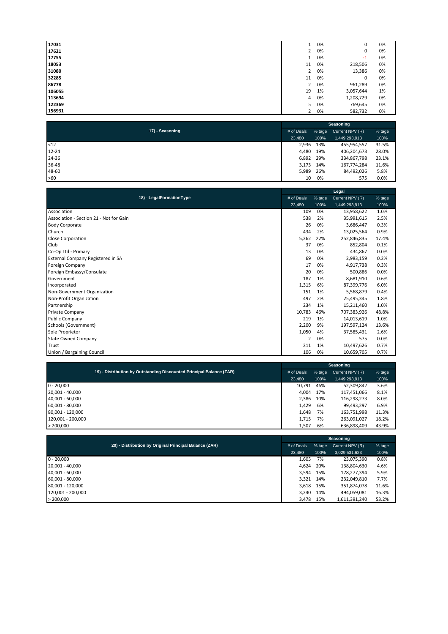| 17031  | 1              | 0% | 0         | 0% |
|--------|----------------|----|-----------|----|
| 17621  | 2              | 0% | 0         | 0% |
| 17755  |                | 0% | $-1$      | 0% |
| 18053  | 11             | 0% | 218,506   | 0% |
| 31080  | $\overline{2}$ | 0% | 13,386    | 0% |
| 32285  | 11             | 0% | 0         | 0% |
| 86778  | $\overline{2}$ | 0% | 961,289   | 0% |
| 106055 | 19             | 1% | 3,057,644 | 1% |
| 113694 | 4              | 0% | 1,208,729 | 0% |
| 122369 | 5.             | 0% | 769,645   | 0% |
| 156931 | $\overline{2}$ | 0% | 582,732   | 0% |

|                 |            |        | Seasoning       |        |  |
|-----------------|------------|--------|-----------------|--------|--|
| 17) - Seasoning | # of Deals | % tage | Current NPV (R) | % tage |  |
|                 | 23,480     | 100%   | 1,449,293,913   | 100%   |  |
| $12$            | 2,936      | 13%    | 455,954,557     | 31.5%  |  |
| $12 - 24$       | 4,480      | 19%    | 406,204,673     | 28.0%  |  |
| 24-36           | 6,892      | 29%    | 334,867,798     | 23.1%  |  |
| 36-48           | 3,173      | 14%    | 167,774,284     | 11.6%  |  |
| 48-60           | 5,989      | 26%    | 84,492,026      | 5.8%   |  |
| >60             | 10         | 0%     | 575             | 0.0%   |  |

|                                         | Legal          |        |                 |        |  |  |
|-----------------------------------------|----------------|--------|-----------------|--------|--|--|
| 18) - LegalFormationType                | # of Deals     | % tage | Current NPV (R) | % tage |  |  |
|                                         | 23,480         | 100%   | 1,449,293,913   | 100%   |  |  |
| Association                             | 109            | 0%     | 13,958,622      | 1.0%   |  |  |
| Association - Section 21 - Not for Gain | 538            | 2%     | 35,991,615      | 2.5%   |  |  |
| <b>Body Corporate</b>                   | 26             | 0%     | 3,686,447       | 0.3%   |  |  |
| Church                                  | 434            | 2%     | 13,025,564      | 0.9%   |  |  |
| <b>Close Corporation</b>                | 5,262          | 22%    | 252,846,835     | 17.4%  |  |  |
| Club                                    | 37             | 0%     | 852,804         | 0.1%   |  |  |
| Co-Op Ltd - Primary                     | 13             | 0%     | 434,867         | 0.0%   |  |  |
| External Company Registered in SA       | 69             | 0%     | 2,983,159       | 0.2%   |  |  |
| <b>Foreign Company</b>                  | 17             | 0%     | 4,917,738       | 0.3%   |  |  |
| Foreign Embassy/Consulate               | 20             | 0%     | 500,886         | 0.0%   |  |  |
| Government                              | 187            | 1%     | 8,681,910       | 0.6%   |  |  |
| Incorporated                            | 1,315          | 6%     | 87,399,776      | 6.0%   |  |  |
| Non-Government Organization             | 151            | 1%     | 5,568,879       | 0.4%   |  |  |
| Non-Profit Organization                 | 497            | 2%     | 25,495,345      | 1.8%   |  |  |
| Partnership                             | 234            | 1%     | 15,211,460      | 1.0%   |  |  |
| <b>Private Company</b>                  | 10,783         | 46%    | 707,383,926     | 48.8%  |  |  |
| <b>Public Company</b>                   | 219            | 1%     | 14,013,619      | 1.0%   |  |  |
| Schools (Government)                    | 2,200          | 9%     | 197,597,124     | 13.6%  |  |  |
| Sole Proprietor                         | 1,050          | 4%     | 37,585,431      | 2.6%   |  |  |
| <b>State Owned Company</b>              | $\overline{2}$ | 0%     | 575             | 0.0%   |  |  |
| Trust                                   | 211            | 1%     | 10,497,626      | 0.7%   |  |  |
| Union / Bargaining Council              | 106            | 0%     | 10,659,705      | 0.7%   |  |  |

|                   |                                                                      |            |        | Seasoning       |        |
|-------------------|----------------------------------------------------------------------|------------|--------|-----------------|--------|
|                   | 19) - Distribution by Outstanding Discounted Principal Balance (ZAR) | # of Deals | % tage | Current NPV (R) | % tage |
|                   |                                                                      | 23.480     | 100%   | 1,449,293,913   | 100%   |
| $0 - 20,000$      |                                                                      | 10,791     | 46%    | 52,309,842      | 3.6%   |
| 20,001 - 40,000   |                                                                      | 4.004      | 17%    | 117,451,066     | 8.1%   |
| 40,001 - 60,000   |                                                                      | 2.386      | 10%    | 116,298,273     | 8.0%   |
| 60,001 - 80,000   |                                                                      | 1.429      | 6%     | 99,493,297      | 6.9%   |
| 80,001 - 120,000  |                                                                      | 1,648      | 7%     | 163,751,998     | 11.3%  |
| 120.001 - 200.000 |                                                                      | 1.715      | 7%     | 263,091,027     | 18.2%  |
| > 200,000         |                                                                      | 1,507      | 6%     | 636,898,409     | 43.9%  |

|                                                        | Seasoning  |           |                 |        |  |  |
|--------------------------------------------------------|------------|-----------|-----------------|--------|--|--|
| 20) - Distribution by Original Principal Balance (ZAR) | # of Deals | % tage    | Current NPV (R) | % tage |  |  |
|                                                        | 23,480     | 100%      | 3,029,531,623   | 100%   |  |  |
| $0 - 20,000$                                           | 1,605      | 7%        | 23,075,390      | 0.8%   |  |  |
| 20,001 - 40,000                                        | 4.624      | 20%       | 138,804,630     | 4.6%   |  |  |
| 40,001 - 60,000                                        |            | 3,594 15% | 178,277,394     | 5.9%   |  |  |
| 60,001 - 80,000                                        | 3,321      | 14%       | 232,049,810     | 7.7%   |  |  |
| 80,001 - 120,000                                       |            | 3,618 15% | 351,874,078     | 11.6%  |  |  |
| 120,001 - 200,000                                      | 3.240      | 14%       | 494,059,081     | 16.3%  |  |  |
| > 200,000                                              | 3,478      | 15%       | 1,611,391,240   | 53.2%  |  |  |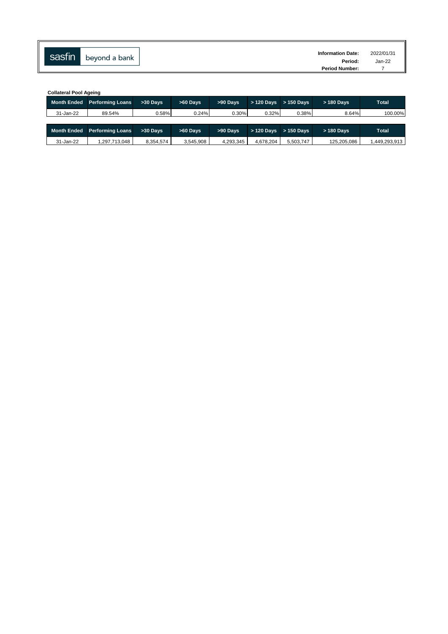| sasfin |               | <b>Information Date:</b> | 2022/01/31 |
|--------|---------------|--------------------------|------------|
|        | beyond a bank | Period:                  | Jan-22     |
|        |               | <b>Period Number:</b>    |            |

|                    | <b>Collateral Pool Ageing</b> |                |            |                                       |            |              |             |              |  |  |  |  |  |  |
|--------------------|-------------------------------|----------------|------------|---------------------------------------|------------|--------------|-------------|--------------|--|--|--|--|--|--|
| <b>Month Ended</b> | <b>Performing Loans</b>       | $>30$ Davs     |            | $>60$ Davs<br>>90 Days<br>$>120$ Davs |            | $> 150$ Davs | > 180 Days  | <b>Total</b> |  |  |  |  |  |  |
| 31-Jan-22          | 89.54%                        | 0.24%<br>0.58% |            | 0.30%                                 | 0.32%      | 0.38%        | 8.64%       | 100.00%      |  |  |  |  |  |  |
|                    |                               |                |            |                                       |            |              |             |              |  |  |  |  |  |  |
| <b>Month Ended</b> | <b>Performing Loans</b>       | $>30$ Davs     | $>60$ Davs | >90 Days                              | > 120 Days | $>150$ Davs  | > 180 Days  | <b>Total</b> |  |  |  |  |  |  |
| 31-Jan-22          | .297.713.048                  | 8.354.574      | 3.545.908  | 4.293.345                             | 4.678.204  | 5.503.747    | 125.205.086 | 449.293.913  |  |  |  |  |  |  |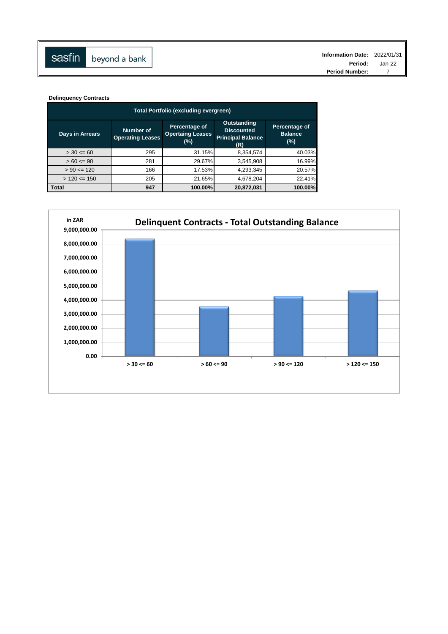**Delinquency Contracts**

| Total Portfolio (excluding evergreen) |                                      |                                                 |                                                                            |                                         |  |  |  |  |  |  |  |  |
|---------------------------------------|--------------------------------------|-------------------------------------------------|----------------------------------------------------------------------------|-----------------------------------------|--|--|--|--|--|--|--|--|
| <b>Days in Arrears</b>                | Number of<br><b>Operating Leases</b> | Percentage of<br><b>Opertaing Leases</b><br>(%) | <b>Outstanding</b><br><b>Discounted</b><br><b>Principal Balance</b><br>(R) | Percentage of<br><b>Balance</b><br>(% ) |  |  |  |  |  |  |  |  |
| $> 30 \le 60$                         | 295                                  | 31.15%                                          | 8,354,574                                                                  | 40.03%                                  |  |  |  |  |  |  |  |  |
| $> 60 \le 90$                         | 281                                  | 29.67%                                          | 3,545,908                                                                  | 16.99%                                  |  |  |  |  |  |  |  |  |
| $> 90 \le 120$                        | 166                                  | 17.53%                                          | 4,293,345                                                                  | 20.57%                                  |  |  |  |  |  |  |  |  |
| $> 120 \le 150$                       | 205                                  | 21.65%                                          | 4,678,204                                                                  | 22.41%                                  |  |  |  |  |  |  |  |  |
| <b>Total</b>                          | 947                                  | 100.00%                                         | 20,872,031                                                                 | 100.00%                                 |  |  |  |  |  |  |  |  |

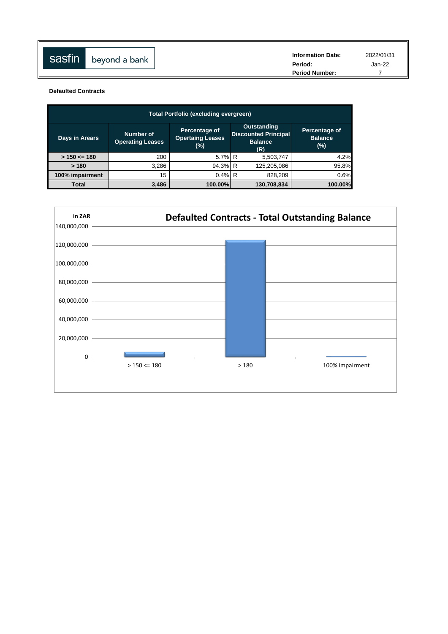| sasfin | beyond a bank | <b>Information Date:</b><br>Period: | 2022/01/31<br>Jan-22 |
|--------|---------------|-------------------------------------|----------------------|
|        |               | <b>Period Number:</b>               |                      |

**Defaulted Contracts**

| <b>Total Portfolio (excluding evergreen)</b> |                                      |                                                 |                                                                            |                                        |  |  |  |  |  |  |  |  |
|----------------------------------------------|--------------------------------------|-------------------------------------------------|----------------------------------------------------------------------------|----------------------------------------|--|--|--|--|--|--|--|--|
| Days in Arears                               | Number of<br><b>Operating Leases</b> | Percentage of<br><b>Opertaing Leases</b><br>(%) | <b>Outstanding</b><br><b>Discounted Principal</b><br><b>Balance</b><br>(R) | Percentage of<br><b>Balance</b><br>(%) |  |  |  |  |  |  |  |  |
| $> 150 \le 180$                              | 200                                  | 5.7% R                                          | 5,503,747                                                                  | 4.2%                                   |  |  |  |  |  |  |  |  |
| >180                                         | 3.286                                | 94.3% R                                         | 125,205,086                                                                | 95.8%                                  |  |  |  |  |  |  |  |  |
| 100% impairment                              | 15                                   | $0.4\%$ R                                       | 828,209                                                                    | 0.6%                                   |  |  |  |  |  |  |  |  |
| Total                                        | 3.486                                | 100.00%                                         | 130,708,834                                                                | 100.00%                                |  |  |  |  |  |  |  |  |

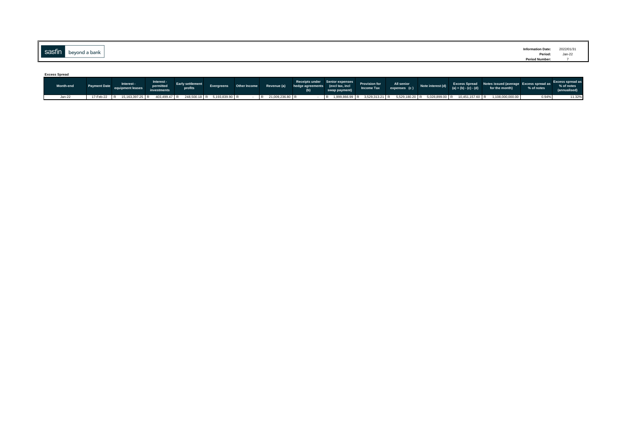|          |               | <b>Information Date:</b>         | 2022/01/31                          |
|----------|---------------|----------------------------------|-------------------------------------|
| sasfin l |               |                                  | the contract of the contract of the |
|          | beyond a bank | Period:<br><b>Period Number:</b> | Jan-22                              |

| <b>Excess Spread</b> |                                                                        |                                        |         |  |                                                                      |                                                                                                                  |               |                            |                   |                         |                                                                                                |            |                            |
|----------------------|------------------------------------------------------------------------|----------------------------------------|---------|--|----------------------------------------------------------------------|------------------------------------------------------------------------------------------------------------------|---------------|----------------------------|-------------------|-------------------------|------------------------------------------------------------------------------------------------|------------|----------------------------|
| <b>Month-end</b>     | Interest -<br>equipment leases                                         | Interest -<br>permitted<br>investments | profits |  | Evergreens Other Income Revenue (a) hedge agreements (excl tax, incl | Receipts under Senior expenses<br>hedge agreements (excl tax, incl<br>(b) (b) (b) all promotional directions (b) | swap payment) | All senior<br>expenses (c) | Note interest (d) | $(a) + (b) - (c) - (d)$ | Excess Spread Notes issued (average Excess spread as Excess spread as<br>for the month)        | % of notes | % of notes<br>(annualised) |
| $Jan-22$             | 17-Feb-22 R 15,163,397.25 R 403,499.47 R 248,500.18 R 5,193,839.90 R - |                                        |         |  | R 21,009,236.80 R                                                    |                                                                                                                  |               |                            |                   |                         | R 1,999,866.99 R 3,529,313.21 R 5,529,180.20 R 5,028,899.00 R 10,451,157.60 R 1,108,000,000.00 | 0.94%      | 11.32%                     |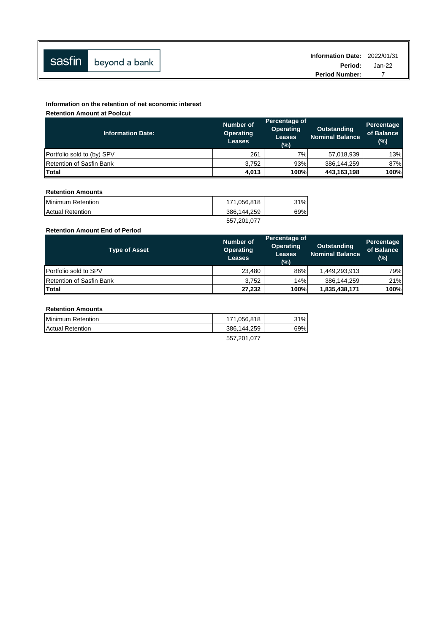|                      | Information Date: 2022/01/31 |          |
|----------------------|------------------------------|----------|
| Sasfin beyond a bank | Period:                      | $Jan-22$ |
|                      | <b>Period Number:</b>        |          |

### **Information on the retention of net economic interest**

**Retention Amount at Poolcut**

| <b>Information Date:</b>        | <b>Number of</b><br><b>Operating</b><br><b>Leases</b> | Percentage of<br><b>Operating</b><br><b>Leases</b><br>(%) | <b>Outstanding</b><br><b>Nominal Balance</b> | <b>Percentage</b><br>of Balance<br>(%) |
|---------------------------------|-------------------------------------------------------|-----------------------------------------------------------|----------------------------------------------|----------------------------------------|
| Portfolio sold to (by) SPV      | 261                                                   | 7%                                                        | 57,018,939                                   | 13%                                    |
| <b>Retention of Sasfin Bank</b> | 3.752                                                 | 93%                                                       | 386,144,259                                  | 87%                                    |
| <b>Total</b>                    | 4,013                                                 | 100%                                                      | 443,163,198                                  | 100%                                   |

### **Retention Amounts**

| Minimum Retention       | 171.056.818 | 31% |
|-------------------------|-------------|-----|
| <b>Actual Retention</b> | 386,144,259 | 69% |
|                         | 557,201,077 |     |

### **Retention Amount End of Period**

| <b>Type of Asset</b>            | <b>Number of</b><br><b>Operating</b><br><b>Leases</b> | Percentage of<br><b>Operating</b><br><b>Leases</b><br>(%) | Outstanding<br><b>Nominal Balance</b> | <b>Percentage</b><br>of Balance<br>$(\%)$ |
|---------------------------------|-------------------------------------------------------|-----------------------------------------------------------|---------------------------------------|-------------------------------------------|
| <b>Portfolio sold to SPV</b>    | 23.480                                                | 86%                                                       | 1,449,293,913                         | 79%                                       |
| <b>Retention of Sasfin Bank</b> | 3.752                                                 | 14%                                                       | 386,144,259                           | 21%                                       |
| Total                           | 27.232                                                | 100%                                                      | 1,835,438,171                         | 100%                                      |

## **Retention Amounts**

| <b>Minimum Retention</b> | 171.056.818        | 31% |
|--------------------------|--------------------|-----|
| <b>Actual Retention</b>  | 386.144.259        | 69% |
|                          | <b>EEZ 204 077</b> |     |

557,201,077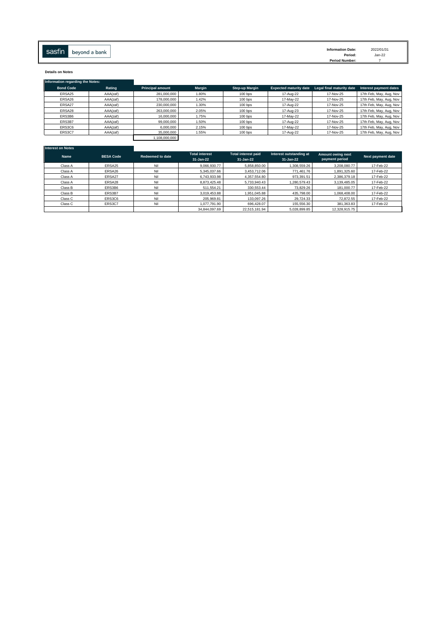**Details on Notes**

| Information regarding the Notes: |          |                         |        |                |                               |                           |                         |
|----------------------------------|----------|-------------------------|--------|----------------|-------------------------------|---------------------------|-------------------------|
| <b>Bond Code</b>                 | Rating   | <b>Principal amount</b> | Margin | Step-up Margin | <b>Expected maturity date</b> | Legal final maturity date | Interest payment dates  |
| ERSA25                           | AAA(zaf) | 281.000.000             | 1.80%  | 100 bps        | 17-Aug-22                     | 17-Nov-25                 | 17th Feb, May, Aug, Nov |
| ERSA26                           | AAA(zaf) | 178,000,000             | 1.42%  | 100 bps        | 17-May-22                     | 17-Nov-25                 | 17th Feb, May, Aug, Nov |
| ERSA27                           | AAA(zaf) | 230,000,000             | 1.30%  | $100$ bps      | 17-Aug-22                     | 17-Nov-25                 | 17th Feb, May, Aug, Nov |
| ERSA28                           | AAA(zaf) | 263,000,000             | 2.05%  | $100$ bps      | 17-Aug-23                     | 17-Nov-25                 | 17th Feb, May, Aug, Nov |
| ERS3B6                           | AAA(zaf) | 16,000,000              | 1.75%  | $100$ bps      | 17-May-22                     | 17-Nov-25                 | 17th Feb, May, Aug, Nov |
| ERS3B7                           | AAA(zaf) | 99,000,000              | 1.50%  | $100$ bps      | 17-Aug-22                     | 17-Nov-25                 | 17th Feb, May, Aug, Nov |
| ERS3C6                           | AAA(zaf) | 6,000,000               | 2.15%  | 100 bps        | 17-May-22                     | 17-Nov-25                 | 17th Feb, May, Aug, Nov |
| ERS3C7                           | AAA(zaf) | 35,000,000              | 1.55%  | 100 bps        | 17-Aug-22                     | 17-Nov-25                 | 17th Feb, May, Aug, Nov |
|                                  |          | 1.108.000.000           |        |                |                               |                           |                         |

| Interest on Notes |                  |                  |                                    |                                         |                                      |                                     |                   |
|-------------------|------------------|------------------|------------------------------------|-----------------------------------------|--------------------------------------|-------------------------------------|-------------------|
| <b>Name</b>       | <b>BESA Code</b> | Redeemed to date | <b>Total interest</b><br>31-Jan-22 | <b>Total interest paid</b><br>31-Jan-22 | Interest outstanding at<br>31-Jan-22 | Amount owing next<br>payment period | Next payment date |
| Class A           | ERSA25           | Nil              | 9.066.930.77                       | 5.858.850.00                            | 1,308,559.26                         | 3.208.080.77                        | 17-Feb-22         |
| Class A           | ERSA26           | Nil              | 5,345,037.66                       | 3.453.712.06                            | 771.461.76                           | 1.891.325.60                        | 17-Feb-22         |
| Class A           | ERSA27           | Nil              | 6.743.933.98                       | 4.357.554.80                            | 973.391.51                           | 2.386.379.18                        | 17-Feb-22         |
| Class A           | ERSA28           | Nil              | 8.873.425.48                       | 5.733.940.43                            | 1.280.579.43                         | 3.139.485.05                        | 17-Feb-22         |
| Class B           | ERS3B6           | Nil              | 511.554.21                         | 330.553.44                              | 73.829.26                            | 181.000.77                          | 17-Feb-22         |
| Class B           | ERS3B7           | Nil              | 3.019.453.88                       | 1.951.045.88                            | 435.798.00                           | 1.068.408.00                        | 17-Feb-22         |
| Class C           | ERS3C6           | Nil              | 205,969.81                         | 133,097.26                              | 29.724.33                            | 72.872.55                           | 17-Feb-22         |
| Class C           | ERS3C7           | Nil              | 1,077,791.90                       | 696.428.07                              | 155,556.30                           | 381,363.83                          | 17-Feb-22         |
|                   |                  |                  | 34.844.097.69                      | 22.515.181.94                           | 5.028.899.85                         | 12,328,915.75                       |                   |